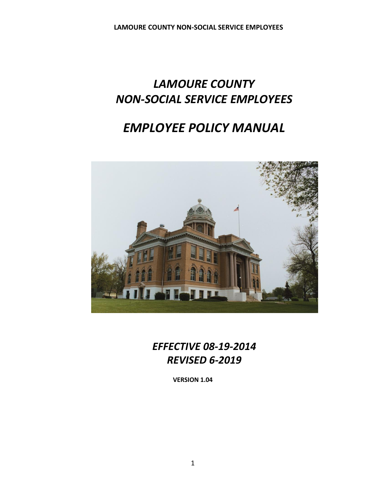# *LAMOURE COUNTY NON-SOCIAL SERVICE EMPLOYEES*

# *EMPLOYEE POLICY MANUAL*



*EFFECTIVE 08-19-2014 REVISED 6-2019*

**VERSION 1.04**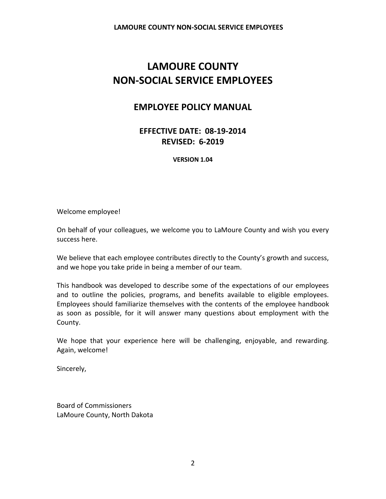# **LAMOURE COUNTY NON-SOCIAL SERVICE EMPLOYEES**

# **EMPLOYEE POLICY MANUAL**

**EFFECTIVE DATE: 08-19-2014 REVISED: 6-2019**

**VERSION 1.04**

Welcome employee!

On behalf of your colleagues, we welcome you to LaMoure County and wish you every success here.

We believe that each employee contributes directly to the County's growth and success, and we hope you take pride in being a member of our team.

This handbook was developed to describe some of the expectations of our employees and to outline the policies, programs, and benefits available to eligible employees. Employees should familiarize themselves with the contents of the employee handbook as soon as possible, for it will answer many questions about employment with the County.

We hope that your experience here will be challenging, enjoyable, and rewarding. Again, welcome!

Sincerely,

Board of Commissioners LaMoure County, North Dakota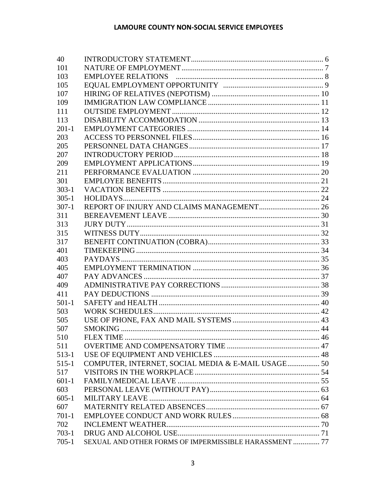| 40        |                                                        |  |
|-----------|--------------------------------------------------------|--|
| 101       |                                                        |  |
| 103       |                                                        |  |
| 105       |                                                        |  |
| 107       |                                                        |  |
| 109       |                                                        |  |
| 111       |                                                        |  |
| 113       |                                                        |  |
| $201-1$   |                                                        |  |
| 203       |                                                        |  |
| 205       |                                                        |  |
| 207       |                                                        |  |
| 209       |                                                        |  |
| 211       |                                                        |  |
| 301       |                                                        |  |
| $303-1$   |                                                        |  |
| $305 - 1$ |                                                        |  |
| $307-1$   |                                                        |  |
| 311       |                                                        |  |
| 313       |                                                        |  |
| 315       |                                                        |  |
| 317       |                                                        |  |
| 401       |                                                        |  |
| 403       |                                                        |  |
| 405       |                                                        |  |
| 407       |                                                        |  |
| 409       |                                                        |  |
| 411       |                                                        |  |
| $501-1$   |                                                        |  |
| 503       |                                                        |  |
| 505       |                                                        |  |
| 507       |                                                        |  |
| 510       |                                                        |  |
| 511       |                                                        |  |
| 513-1     |                                                        |  |
| $515-1$   | COMPUTER, INTERNET, SOCIAL MEDIA & E-MAIL USAGE 50     |  |
| 517       |                                                        |  |
| $601-1$   |                                                        |  |
| 603       |                                                        |  |
| $605 - 1$ |                                                        |  |
| 607       |                                                        |  |
| $701-1$   |                                                        |  |
| 702       |                                                        |  |
| $703-1$   |                                                        |  |
| $705-1$   | SEXUAL AND OTHER FORMS OF IMPERMISSIBLE HARASSMENT  77 |  |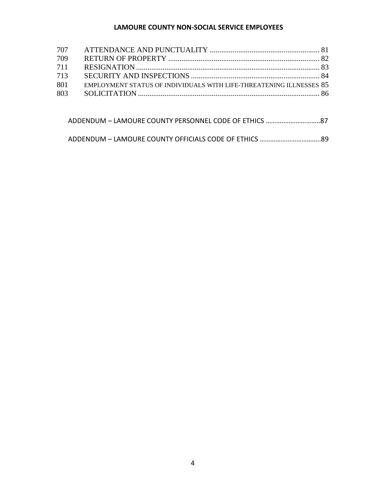#### **LAMOURE COUNTY NON-SOCIAL SERVICE EMPLOYEES**

| 707 |                                                                     |  |
|-----|---------------------------------------------------------------------|--|
| 709 |                                                                     |  |
| 711 |                                                                     |  |
| 713 |                                                                     |  |
| 801 | EMPLOYMENT STATUS OF INDIVIDUALS WITH LIFE-THREATENING ILLNESSES 85 |  |
| 803 |                                                                     |  |
|     |                                                                     |  |

ADDENDUM – LAMOURE COUNTY OFFICIALS CODE OF ETHICS ……………………………..89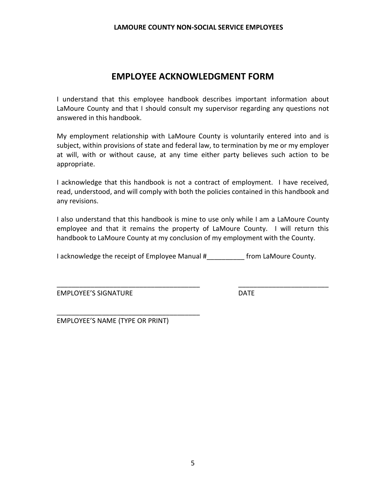#### **LAMOURE COUNTY NON-SOCIAL SERVICE EMPLOYEES**

# **EMPLOYEE ACKNOWLEDGMENT FORM**

I understand that this employee handbook describes important information about LaMoure County and that I should consult my supervisor regarding any questions not answered in this handbook.

My employment relationship with LaMoure County is voluntarily entered into and is subject, within provisions of state and federal law, to termination by me or my employer at will, with or without cause, at any time either party believes such action to be appropriate.

I acknowledge that this handbook is not a contract of employment. I have received, read, understood, and will comply with both the policies contained in this handbook and any revisions.

I also understand that this handbook is mine to use only while I am a LaMoure County employee and that it remains the property of LaMoure County. I will return this handbook to LaMoure County at my conclusion of my employment with the County.

I acknowledge the receipt of Employee Manual # The from LaMoure County.

\_\_\_\_\_\_\_\_\_\_\_\_\_\_\_\_\_\_\_\_\_\_\_\_\_\_\_\_\_\_\_\_\_\_\_\_\_\_ \_\_\_\_\_\_\_\_\_\_\_\_\_\_\_\_\_\_\_\_\_\_\_\_

EMPLOYEE'S SIGNATURE DATE

EMPLOYEE'S NAME (TYPE OR PRINT)

\_\_\_\_\_\_\_\_\_\_\_\_\_\_\_\_\_\_\_\_\_\_\_\_\_\_\_\_\_\_\_\_\_\_\_\_\_\_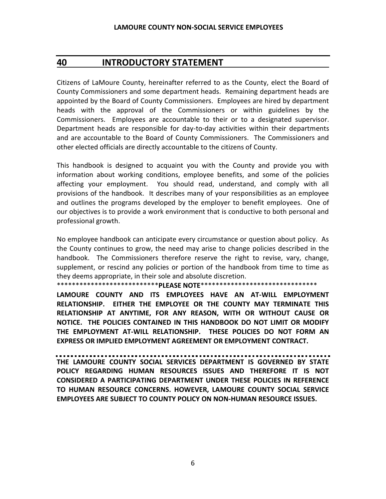## <span id="page-5-0"></span>**40 INTRODUCTORY STATEMENT**

Citizens of LaMoure County, hereinafter referred to as the County, elect the Board of County Commissioners and some department heads. Remaining department heads are appointed by the Board of County Commissioners. Employees are hired by department heads with the approval of the Commissioners or within guidelines by the Commissioners. Employees are accountable to their or to a designated supervisor. Department heads are responsible for day-to-day activities within their departments and are accountable to the Board of County Commissioners. The Commissioners and other elected officials are directly accountable to the citizens of County.

This handbook is designed to acquaint you with the County and provide you with information about working conditions, employee benefits, and some of the policies affecting your employment. You should read, understand, and comply with all provisions of the handbook. It describes many of your responsibilities as an employee and outlines the programs developed by the employer to benefit employees. One of our objectives is to provide a work environment that is conductive to both personal and professional growth.

No employee handbook can anticipate every circumstance or question about policy. As the County continues to grow, the need may arise to change policies described in the handbook. The Commissioners therefore reserve the right to revise, vary, change, supplement, or rescind any policies or portion of the handbook from time to time as they deems appropriate, in their sole and absolute discretion.

\*\*\*\*\*\*\*\*\*\*\*\*\*\*\*\*\*\*\*\*\*\*\*\*\*\*\***PLEASE NOTE**\*\*\*\*\*\*\*\*\*\*\*\*\*\*\*\*\*\*\*\*\*\*\*\*\*\*\*\*\*\*\*

**LAMOURE COUNTY AND ITS EMPLOYEES HAVE AN AT-WILL EMPLOYMENT RELATIONSHIP. EITHER THE EMPLOYEE OR THE COUNTY MAY TERMINATE THIS RELATIONSHIP AT ANYTIME, FOR ANY REASON, WITH OR WITHOUT CAUSE OR NOTICE. THE POLICIES CONTAINED IN THIS HANDBOOK DO NOT LIMIT OR MODIFY THE EMPLOYMENT AT-WILL RELATIONSHIP. THESE POLICIES DO NOT FORM AN EXPRESS OR IMPLIED EMPLOYMENT AGREEMENT OR EMPLOYMENT CONTRACT.** 

**THE LAMOURE COUNTY SOCIAL SERVICES DEPARTMENT IS GOVERNED BY STATE POLICY REGARDING HUMAN RESOURCES ISSUES AND THEREFORE IT IS NOT CONSIDERED A PARTICIPATING DEPARTMENT UNDER THESE POLICIES IN REFERENCE TO HUMAN RESOURCE CONCERNS. HOWEVER, LAMOURE COUNTY SOCIAL SERVICE EMPLOYEES ARE SUBJECT TO COUNTY POLICY ON NON-HUMAN RESOURCE ISSUES.**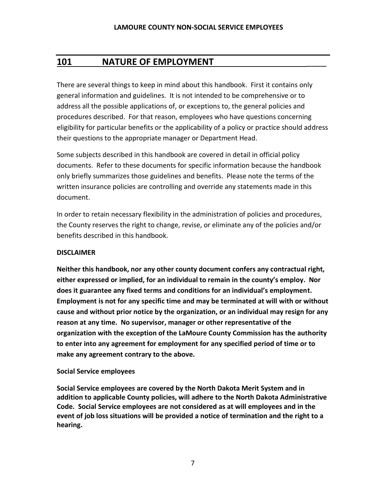# <span id="page-6-0"></span>**101 NATURE OF EMPLOYMENT** \_\_\_\_

There are several things to keep in mind about this handbook. First it contains only general information and guidelines. It is not intended to be comprehensive or to address all the possible applications of, or exceptions to, the general policies and procedures described. For that reason, employees who have questions concerning eligibility for particular benefits or the applicability of a policy or practice should address their questions to the appropriate manager or Department Head.

Some subjects described in this handbook are covered in detail in official policy documents. Refer to these documents for specific information because the handbook only briefly summarizes those guidelines and benefits. Please note the terms of the written insurance policies are controlling and override any statements made in this document.

In order to retain necessary flexibility in the administration of policies and procedures, the County reserves the right to change, revise, or eliminate any of the policies and/or benefits described in this handbook.

#### **DISCLAIMER**

**Neither this handbook, nor any other county document confers any contractual right, either expressed or implied, for an individual to remain in the county's employ. Nor does it guarantee any fixed terms and conditions for an individual's employment. Employment is not for any specific time and may be terminated at will with or without cause and without prior notice by the organization, or an individual may resign for any reason at any time. No supervisor, manager or other representative of the organization with the exception of the LaMoure County Commission has the authority to enter into any agreement for employment for any specified period of time or to make any agreement contrary to the above.** 

#### **Social Service employees**

**Social Service employees are covered by the North Dakota Merit System and in addition to applicable County policies, will adhere to the North Dakota Administrative Code. Social Service employees are not considered as at will employees and in the event of job loss situations will be provided a notice of termination and the right to a hearing.**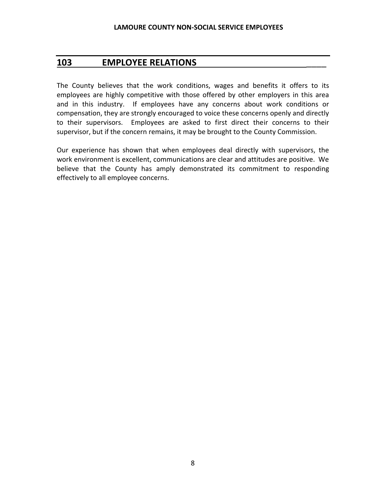#### <span id="page-7-0"></span>**103 EMPLOYEE RELATIONS** \_\_\_\_

The County believes that the work conditions, wages and benefits it offers to its employees are highly competitive with those offered by other employers in this area and in this industry. If employees have any concerns about work conditions or compensation, they are strongly encouraged to voice these concerns openly and directly to their supervisors. Employees are asked to first direct their concerns to their supervisor, but if the concern remains, it may be brought to the County Commission.

Our experience has shown that when employees deal directly with supervisors, the work environment is excellent, communications are clear and attitudes are positive. We believe that the County has amply demonstrated its commitment to responding effectively to all employee concerns.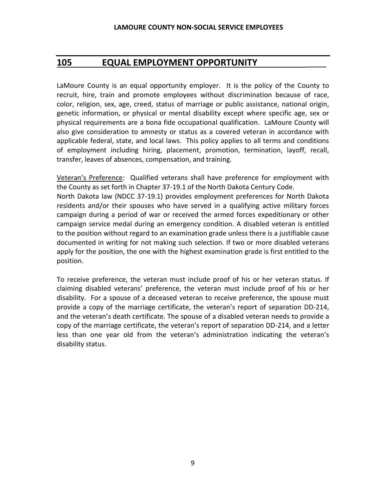# <span id="page-8-0"></span>**105 EQUAL EMPLOYMENT OPPORTUNITY** \_\_\_\_

LaMoure County is an equal opportunity employer. It is the policy of the County to recruit, hire, train and promote employees without discrimination because of race, color, religion, sex, age, creed, status of marriage or public assistance, national origin, genetic information, or physical or mental disability except where specific age, sex or physical requirements are a bona fide occupational qualification. LaMoure County will also give consideration to amnesty or status as a covered veteran in accordance with applicable federal, state, and local laws. This policy applies to all terms and conditions of employment including hiring, placement, promotion, termination, layoff, recall, transfer, leaves of absences, compensation, and training.

Veteran's Preference: Qualified veterans shall have preference for employment with the County as set forth in Chapter 37-19.1 of the North Dakota Century Code. North Dakota law (NDCC 37-19.1) provides employment preferences for North Dakota residents and/or their spouses who have served in a qualifying active military forces campaign during a period of war or received the armed forces expeditionary or other campaign service medal during an emergency condition. A disabled veteran is entitled to the position without regard to an examination grade unless there is a justifiable cause documented in writing for not making such selection. If two or more disabled veterans apply for the position, the one with the highest examination grade is first entitled to the position.

To receive preference, the veteran must include proof of his or her veteran status. If claiming disabled veterans' preference, the veteran must include proof of his or her disability. For a spouse of a deceased veteran to receive preference, the spouse must provide a copy of the marriage certificate, the veteran's report of separation DD-214, and the veteran's death certificate. The spouse of a disabled veteran needs to provide a copy of the marriage certificate, the veteran's report of separation DD-214, and a letter less than one year old from the veteran's administration indicating the veteran's disability status.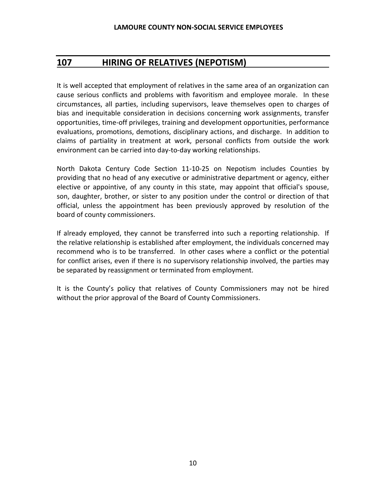# <span id="page-9-0"></span>**107 HIRING OF RELATIVES (NEPOTISM)**

It is well accepted that employment of relatives in the same area of an organization can cause serious conflicts and problems with favoritism and employee morale. In these circumstances, all parties, including supervisors, leave themselves open to charges of bias and inequitable consideration in decisions concerning work assignments, transfer opportunities, time-off privileges, training and development opportunities, performance evaluations, promotions, demotions, disciplinary actions, and discharge. In addition to claims of partiality in treatment at work, personal conflicts from outside the work environment can be carried into day-to-day working relationships.

North Dakota Century Code Section 11-10-25 on Nepotism includes Counties by providing that no head of any executive or administrative department or agency, either elective or appointive, of any county in this state, may appoint that official's spouse, son, daughter, brother, or sister to any position under the control or direction of that official, unless the appointment has been previously approved by resolution of the board of county commissioners.

If already employed, they cannot be transferred into such a reporting relationship. If the relative relationship is established after employment, the individuals concerned may recommend who is to be transferred. In other cases where a conflict or the potential for conflict arises, even if there is no supervisory relationship involved, the parties may be separated by reassignment or terminated from employment.

It is the County's policy that relatives of County Commissioners may not be hired without the prior approval of the Board of County Commissioners.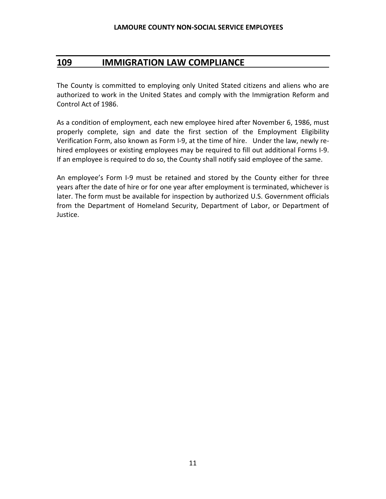### <span id="page-10-0"></span>**109 IMMIGRATION LAW COMPLIANCE**

The County is committed to employing only United Stated citizens and aliens who are authorized to work in the United States and comply with the Immigration Reform and Control Act of 1986.

As a condition of employment, each new employee hired after November 6, 1986, must properly complete, sign and date the first section of the Employment Eligibility Verification Form, also known as Form I-9, at the time of hire. Under the law, newly rehired employees or existing employees may be required to fill out additional Forms I-9. If an employee is required to do so, the County shall notify said employee of the same.

An employee's Form I-9 must be retained and stored by the County either for three years after the date of hire or for one year after employment is terminated, whichever is later. The form must be available for inspection by authorized U.S. Government officials from the Department of Homeland Security, Department of Labor, or Department of Justice.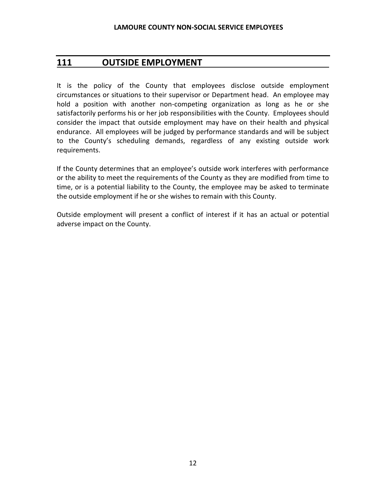### <span id="page-11-0"></span>**111 OUTSIDE EMPLOYMENT**

It is the policy of the County that employees disclose outside employment circumstances or situations to their supervisor or Department head. An employee may hold a position with another non-competing organization as long as he or she satisfactorily performs his or her job responsibilities with the County. Employees should consider the impact that outside employment may have on their health and physical endurance. All employees will be judged by performance standards and will be subject to the County's scheduling demands, regardless of any existing outside work requirements.

If the County determines that an employee's outside work interferes with performance or the ability to meet the requirements of the County as they are modified from time to time, or is a potential liability to the County, the employee may be asked to terminate the outside employment if he or she wishes to remain with this County.

Outside employment will present a conflict of interest if it has an actual or potential adverse impact on the County.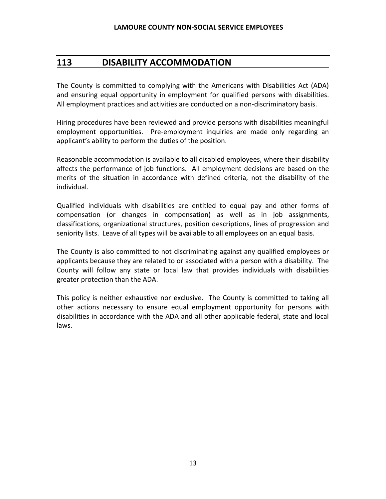## <span id="page-12-0"></span>**113 DISABILITY ACCOMMODATION**

The County is committed to complying with the Americans with Disabilities Act (ADA) and ensuring equal opportunity in employment for qualified persons with disabilities. All employment practices and activities are conducted on a non-discriminatory basis.

Hiring procedures have been reviewed and provide persons with disabilities meaningful employment opportunities. Pre-employment inquiries are made only regarding an applicant's ability to perform the duties of the position.

Reasonable accommodation is available to all disabled employees, where their disability affects the performance of job functions. All employment decisions are based on the merits of the situation in accordance with defined criteria, not the disability of the individual.

Qualified individuals with disabilities are entitled to equal pay and other forms of compensation (or changes in compensation) as well as in job assignments, classifications, organizational structures, position descriptions, lines of progression and seniority lists. Leave of all types will be available to all employees on an equal basis.

The County is also committed to not discriminating against any qualified employees or applicants because they are related to or associated with a person with a disability. The County will follow any state or local law that provides individuals with disabilities greater protection than the ADA.

This policy is neither exhaustive nor exclusive. The County is committed to taking all other actions necessary to ensure equal employment opportunity for persons with disabilities in accordance with the ADA and all other applicable federal, state and local laws.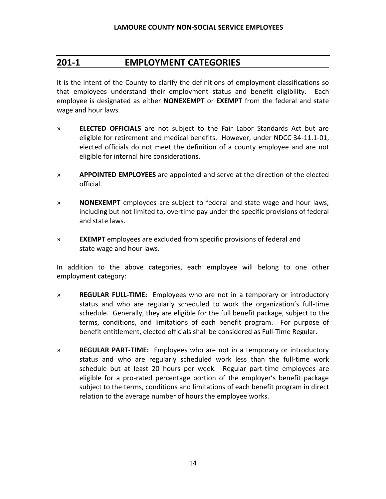### <span id="page-13-0"></span>**201-1 EMPLOYMENT CATEGORIES**

It is the intent of the County to clarify the definitions of employment classifications so that employees understand their employment status and benefit eligibility. Each employee is designated as either **NONEXEMPT** or **EXEMPT** from the federal and state wage and hour laws.

- » **ELECTED OFFICIALS** are not subject to the Fair Labor Standards Act but are eligible for retirement and medical benefits. However, under NDCC 34-11.1-01, elected officials do not meet the definition of a county employee and are not eligible for internal hire considerations.
- » **APPOINTED EMPLOYEES** are appointed and serve at the direction of the elected official.
- » **NONEXEMPT** employees are subject to federal and state wage and hour laws, including but not limited to, overtime pay under the specific provisions of federal and state laws.
- » **EXEMPT** employees are excluded from specific provisions of federal and state wage and hour laws.

In addition to the above categories, each employee will belong to one other employment category:

- » **REGULAR FULL-TIME:** Employees who are not in a temporary or introductory status and who are regularly scheduled to work the organization's full-time schedule. Generally, they are eligible for the full benefit package, subject to the terms, conditions, and limitations of each benefit program. For purpose of benefit entitlement, elected officials shall be considered as Full-Time Regular.
- » **REGULAR PART-TIME:** Employees who are not in a temporary or introductory status and who are regularly scheduled work less than the full-time work schedule but at least 20 hours per week. Regular part-time employees are eligible for a pro-rated percentage portion of the employer's benefit package subject to the terms, conditions and limitations of each benefit program in direct relation to the average number of hours the employee works.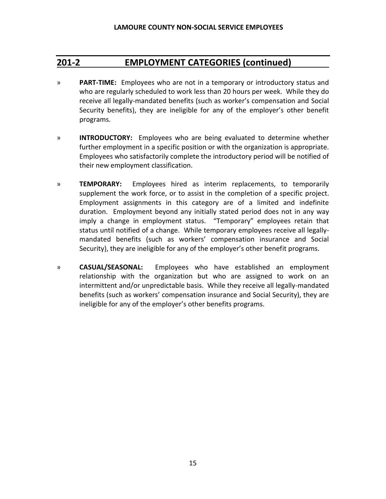# **201-2 EMPLOYMENT CATEGORIES (continued)**

- » **PART-TIME:** Employees who are not in a temporary or introductory status and who are regularly scheduled to work less than 20 hours per week. While they do receive all legally-mandated benefits (such as worker's compensation and Social Security benefits), they are ineligible for any of the employer's other benefit programs.
- » **INTRODUCTORY:** Employees who are being evaluated to determine whether further employment in a specific position or with the organization is appropriate. Employees who satisfactorily complete the introductory period will be notified of their new employment classification.
- » **TEMPORARY:** Employees hired as interim replacements, to temporarily supplement the work force, or to assist in the completion of a specific project. Employment assignments in this category are of a limited and indefinite duration. Employment beyond any initially stated period does not in any way imply a change in employment status. "Temporary" employees retain that status until notified of a change. While temporary employees receive all legallymandated benefits (such as workers' compensation insurance and Social Security), they are ineligible for any of the employer's other benefit programs.
- » **CASUAL/SEASONAL:** Employees who have established an employment relationship with the organization but who are assigned to work on an intermittent and/or unpredictable basis. While they receive all legally-mandated benefits (such as workers' compensation insurance and Social Security), they are ineligible for any of the employer's other benefits programs.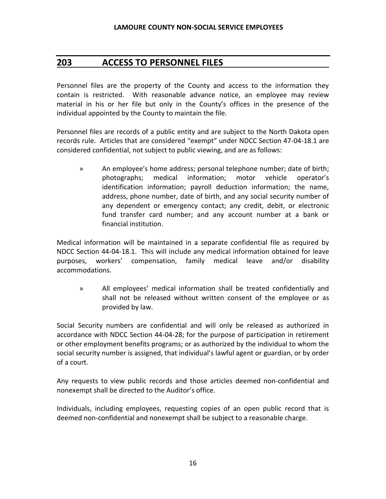# <span id="page-15-0"></span>**203 ACCESS TO PERSONNEL FILES**

Personnel files are the property of the County and access to the information they contain is restricted. With reasonable advance notice, an employee may review material in his or her file but only in the County's offices in the presence of the individual appointed by the County to maintain the file.

Personnel files are records of a public entity and are subject to the North Dakota open records rule. Articles that are considered "exempt" under NDCC Section 47-04-18.1 are considered confidential, not subject to public viewing, and are as follows:

» An employee's home address; personal telephone number; date of birth; photographs; medical information; motor vehicle operator's identification information; payroll deduction information; the name, address, phone number, date of birth, and any social security number of any dependent or emergency contact; any credit, debit, or electronic fund transfer card number; and any account number at a bank or financial institution.

Medical information will be maintained in a separate confidential file as required by NDCC Section 44-04-18.1. This will include any medical information obtained for leave purposes, workers' compensation, family medical leave and/or disability accommodations.

» All employees' medical information shall be treated confidentially and shall not be released without written consent of the employee or as provided by law.

Social Security numbers are confidential and will only be released as authorized in accordance with NDCC Section 44-04-28; for the purpose of participation in retirement or other employment benefits programs; or as authorized by the individual to whom the social security number is assigned, that individual's lawful agent or guardian, or by order of a court.

Any requests to view public records and those articles deemed non-confidential and nonexempt shall be directed to the Auditor's office.

Individuals, including employees, requesting copies of an open public record that is deemed non-confidential and nonexempt shall be subject to a reasonable charge.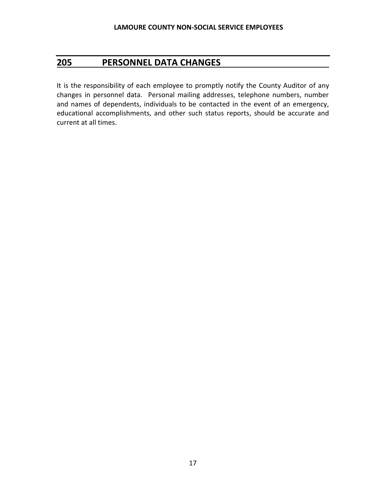## <span id="page-16-0"></span>**205 PERSONNEL DATA CHANGES**

It is the responsibility of each employee to promptly notify the County Auditor of any changes in personnel data. Personal mailing addresses, telephone numbers, number and names of dependents, individuals to be contacted in the event of an emergency, educational accomplishments, and other such status reports, should be accurate and current at all times.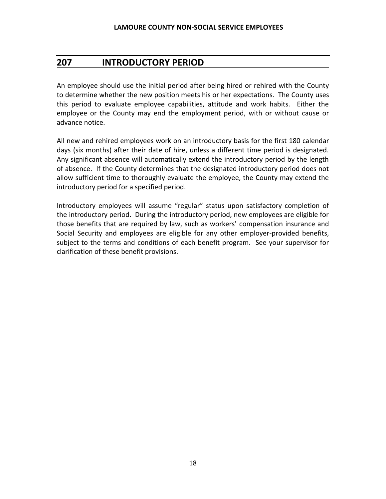## <span id="page-17-0"></span>**207 INTRODUCTORY PERIOD**

An employee should use the initial period after being hired or rehired with the County to determine whether the new position meets his or her expectations. The County uses this period to evaluate employee capabilities, attitude and work habits. Either the employee or the County may end the employment period, with or without cause or advance notice.

All new and rehired employees work on an introductory basis for the first 180 calendar days (six months) after their date of hire, unless a different time period is designated. Any significant absence will automatically extend the introductory period by the length of absence. If the County determines that the designated introductory period does not allow sufficient time to thoroughly evaluate the employee, the County may extend the introductory period for a specified period.

Introductory employees will assume "regular" status upon satisfactory completion of the introductory period. During the introductory period, new employees are eligible for those benefits that are required by law, such as workers' compensation insurance and Social Security and employees are eligible for any other employer-provided benefits, subject to the terms and conditions of each benefit program. See your supervisor for clarification of these benefit provisions.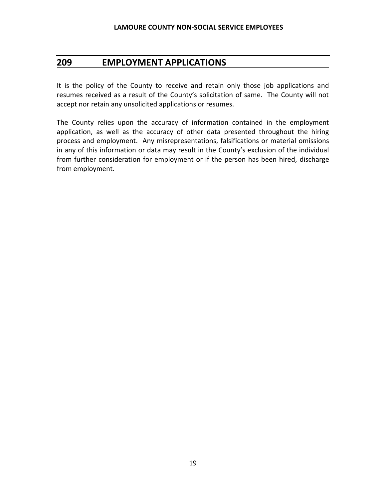# <span id="page-18-0"></span>**209 EMPLOYMENT APPLICATIONS**

It is the policy of the County to receive and retain only those job applications and resumes received as a result of the County's solicitation of same. The County will not accept nor retain any unsolicited applications or resumes.

The County relies upon the accuracy of information contained in the employment application, as well as the accuracy of other data presented throughout the hiring process and employment. Any misrepresentations, falsifications or material omissions in any of this information or data may result in the County's exclusion of the individual from further consideration for employment or if the person has been hired, discharge from employment.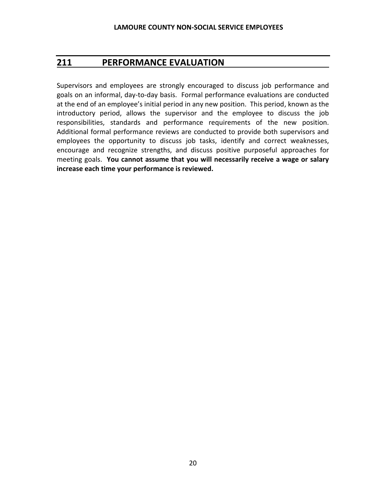# <span id="page-19-0"></span>**211 PERFORMANCE EVALUATION**

Supervisors and employees are strongly encouraged to discuss job performance and goals on an informal, day-to-day basis. Formal performance evaluations are conducted at the end of an employee's initial period in any new position. This period, known as the introductory period, allows the supervisor and the employee to discuss the job responsibilities, standards and performance requirements of the new position. Additional formal performance reviews are conducted to provide both supervisors and employees the opportunity to discuss job tasks, identify and correct weaknesses, encourage and recognize strengths, and discuss positive purposeful approaches for meeting goals. **You cannot assume that you will necessarily receive a wage or salary increase each time your performance is reviewed.**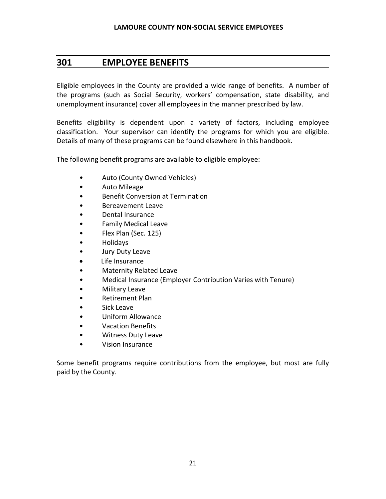# <span id="page-20-0"></span>**301 EMPLOYEE BENEFITS**

Eligible employees in the County are provided a wide range of benefits. A number of the programs (such as Social Security, workers' compensation, state disability, and unemployment insurance) cover all employees in the manner prescribed by law.

Benefits eligibility is dependent upon a variety of factors, including employee classification. Your supervisor can identify the programs for which you are eligible. Details of many of these programs can be found elsewhere in this handbook.

The following benefit programs are available to eligible employee:

- Auto (County Owned Vehicles)
- Auto Mileage
- Benefit Conversion at Termination
- Bereavement Leave
- Dental Insurance
- Family Medical Leave
- Flex Plan (Sec. 125)
- Holidays
- Jury Duty Leave
- Life Insurance
- Maternity Related Leave
- Medical Insurance (Employer Contribution Varies with Tenure)
- Military Leave
- Retirement Plan
- Sick Leave
- Uniform Allowance
- Vacation Benefits
- Witness Duty Leave
- Vision Insurance

Some benefit programs require contributions from the employee, but most are fully paid by the County.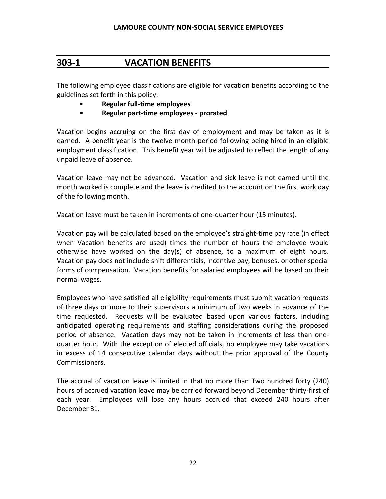# <span id="page-21-0"></span>**303-1 VACATION BENEFITS**

The following employee classifications are eligible for vacation benefits according to the guidelines set forth in this policy:

- **Regular full-time employees**
- **• Regular part-time employees - prorated**

Vacation begins accruing on the first day of employment and may be taken as it is earned. A benefit year is the twelve month period following being hired in an eligible employment classification. This benefit year will be adjusted to reflect the length of any unpaid leave of absence.

Vacation leave may not be advanced. Vacation and sick leave is not earned until the month worked is complete and the leave is credited to the account on the first work day of the following month.

Vacation leave must be taken in increments of one-quarter hour (15 minutes).

Vacation pay will be calculated based on the employee's straight-time pay rate (in effect when Vacation benefits are used) times the number of hours the employee would otherwise have worked on the day(s) of absence, to a maximum of eight hours. Vacation pay does not include shift differentials, incentive pay, bonuses, or other special forms of compensation. Vacation benefits for salaried employees will be based on their normal wages.

Employees who have satisfied all eligibility requirements must submit vacation requests of three days or more to their supervisors a minimum of two weeks in advance of the time requested. Requests will be evaluated based upon various factors, including anticipated operating requirements and staffing considerations during the proposed period of absence. Vacation days may not be taken in increments of less than onequarter hour. With the exception of elected officials, no employee may take vacations in excess of 14 consecutive calendar days without the prior approval of the County Commissioners.

The accrual of vacation leave is limited in that no more than Two hundred forty (240) hours of accrued vacation leave may be carried forward beyond December thirty-first of each year. Employees will lose any hours accrued that exceed 240 hours after December 31.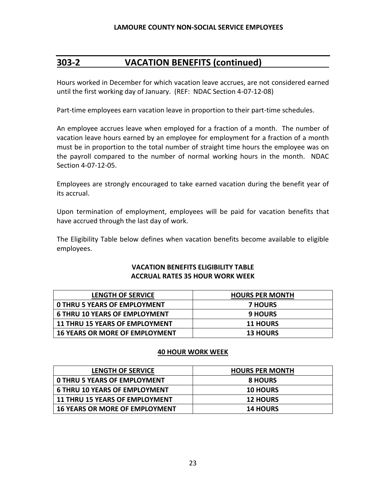# **303-2 VACATION BENEFITS (continued)**

Hours worked in December for which vacation leave accrues, are not considered earned until the first working day of January. (REF: NDAC Section 4-07-12-08)

Part-time employees earn vacation leave in proportion to their part-time schedules.

An employee accrues leave when employed for a fraction of a month. The number of vacation leave hours earned by an employee for employment for a fraction of a month must be in proportion to the total number of straight time hours the employee was on the payroll compared to the number of normal working hours in the month. NDAC Section 4-07-12-05.

Employees are strongly encouraged to take earned vacation during the benefit year of its accrual.

Upon termination of employment, employees will be paid for vacation benefits that have accrued through the last day of work.

The Eligibility Table below defines when vacation benefits become available to eligible employees.

#### **VACATION BENEFITS ELIGIBILITY TABLE ACCRUAL RATES 35 HOUR WORK WEEK**

| <b>LENGTH OF SERVICE</b>              | <b>HOURS PER MONTH</b> |
|---------------------------------------|------------------------|
| <b>O THRU 5 YEARS OF EMPLOYMENT</b>   | <b>7 HOURS</b>         |
| <b>6 THRU 10 YEARS OF EMPLOYMENT</b>  | <b>9 HOURS</b>         |
| <b>11 THRU 15 YEARS OF EMPLOYMENT</b> | <b>11 HOURS</b>        |
| <b>16 YEARS OR MORE OF EMPLOYMENT</b> | <b>13 HOURS</b>        |

#### **40 HOUR WORK WEEK**

| <b>LENGTH OF SERVICE</b>              | <b>HOURS PER MONTH</b> |
|---------------------------------------|------------------------|
| <b>O THRU 5 YEARS OF EMPLOYMENT</b>   | <b>8 HOURS</b>         |
| <b>6 THRU 10 YEARS OF EMPLOYMENT</b>  | <b>10 HOURS</b>        |
| <b>11 THRU 15 YEARS OF EMPLOYMENT</b> | <b>12 HOURS</b>        |
| <b>16 YEARS OR MORE OF EMPLOYMENT</b> | <b>14 HOURS</b>        |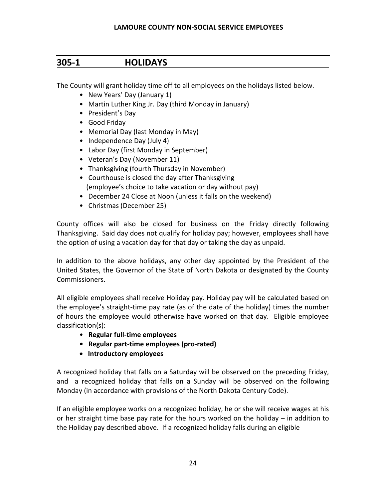### <span id="page-23-0"></span>**305-1 HOLIDAYS**

The County will grant holiday time off to all employees on the holidays listed below.

- New Years' Day (January 1)
- Martin Luther King Jr. Day (third Monday in January)
- President's Day
- Good Friday
- Memorial Day (last Monday in May)
- Independence Day (July 4)
- Labor Day (first Monday in September)
- Veteran's Day (November 11)
- Thanksgiving (fourth Thursday in November)
- Courthouse is closed the day after Thanksgiving (employee's choice to take vacation or day without pay)
- December 24 Close at Noon (unless it falls on the weekend)
- Christmas (December 25)

County offices will also be closed for business on the Friday directly following Thanksgiving. Said day does not qualify for holiday pay; however, employees shall have the option of using a vacation day for that day or taking the day as unpaid.

In addition to the above holidays, any other day appointed by the President of the United States, the Governor of the State of North Dakota or designated by the County Commissioners.

All eligible employees shall receive Holiday pay. Holiday pay will be calculated based on the employee's straight-time pay rate (as of the date of the holiday) times the number of hours the employee would otherwise have worked on that day. Eligible employee classification(s):

- • **Regular full-time employees**
- **Regular part-time employees (pro-rated)**
- **Introductory employees**

A recognized holiday that falls on a Saturday will be observed on the preceding Friday, and a recognized holiday that falls on a Sunday will be observed on the following Monday (in accordance with provisions of the North Dakota Century Code).

If an eligible employee works on a recognized holiday, he or she will receive wages at his or her straight time base pay rate for the hours worked on the holiday – in addition to the Holiday pay described above. If a recognized holiday falls during an eligible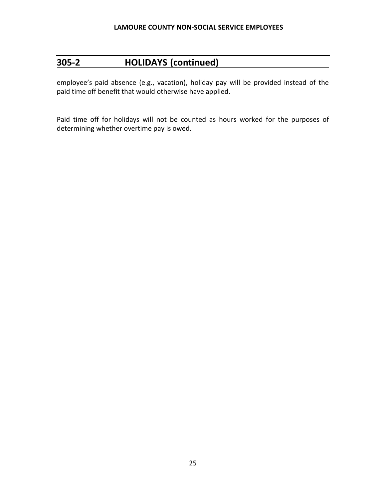### **305-2 HOLIDAYS (continued)**

employee's paid absence (e.g., vacation), holiday pay will be provided instead of the paid time off benefit that would otherwise have applied.

Paid time off for holidays will not be counted as hours worked for the purposes of determining whether overtime pay is owed.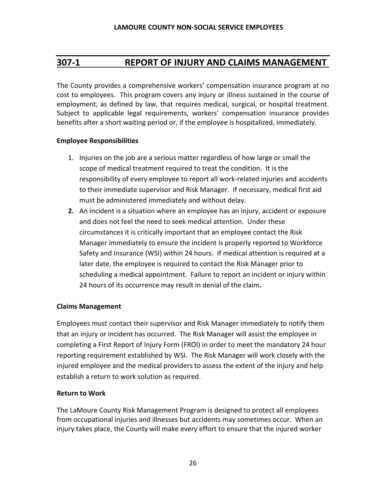# <span id="page-25-0"></span>**307-1 REPORT OF INJURY AND CLAIMS MANAGEMENT**

The County provides a comprehensive workers' compensation insurance program at no cost to employees. This program covers any injury or illness sustained in the course of employment, as defined by law, that requires medical, surgical, or hospital treatment. Subject to applicable legal requirements, workers' compensation insurance provides benefits after a short waiting period or, if the employee is hospitalized, immediately.

#### **Employee Responsibilities**

- 1. Injuries on the job are a serious matter regardless of how large or small the scope of medical treatment required to treat the condition. It is the responsibility of every employee to report all work-related injuries and accidents to their immediate supervisor and Risk Manager. If necessary, medical first aid must be administered immediately and without delay.
- **2.** An incident is a situation where an employee has an injury, accident or exposure and does not feel the need to seek medical attention. Under these circumstances it is critically important that an employee contact the Risk Manager immediately to ensure the incident is properly reported to Workforce Safety and Insurance (WSI) within 24 hours. If medical attention is required at a later date, the employee is required to contact the Risk Manager prior to scheduling a medical appointment. Failure to report an incident or injury within 24 hours of its occurrence may result in denial of the claim**.**

#### **Claims Management**

Employees must contact their supervisor and Risk Manager immediately to notify them that an injury or incident has occurred. The Risk Manager will assist the employee in completing a First Report of Injury Form (FROI) in order to meet the mandatory 24 hour reporting requirement established by WSI. The Risk Manager will work closely with the injured employee and the medical providers to assess the extent of the injury and help establish a return to work solution as required.

#### **Return to Work**

The LaMoure County Risk Management Program is designed to protect all employees from occupational injuries and illnesses but accidents may sometimes occur. When an injury takes place, the County will make every effort to ensure that the injured worker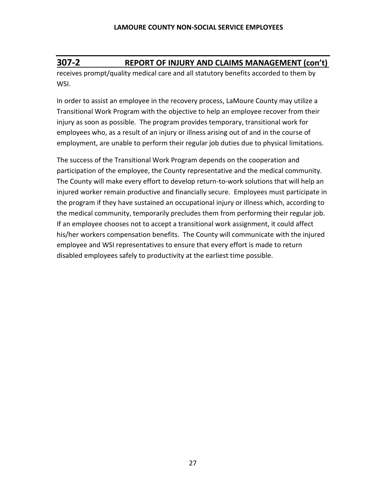# **307-2 REPORT OF INJURY AND CLAIMS MANAGEMENT (con't)**

receives prompt/quality medical care and all statutory benefits accorded to them by WSI.

In order to assist an employee in the recovery process, LaMoure County may utilize a Transitional Work Program with the objective to help an employee recover from their injury as soon as possible. The program provides temporary, transitional work for employees who, as a result of an injury or illness arising out of and in the course of employment, are unable to perform their regular job duties due to physical limitations.

The success of the Transitional Work Program depends on the cooperation and participation of the employee, the County representative and the medical community. The County will make every effort to develop return-to-work solutions that will help an injured worker remain productive and financially secure. Employees must participate in the program if they have sustained an occupational injury or illness which, according to the medical community, temporarily precludes them from performing their regular job. If an employee chooses not to accept a transitional work assignment, it could affect his/her workers compensation benefits. The County will communicate with the injured employee and WSI representatives to ensure that every effort is made to return disabled employees safely to productivity at the earliest time possible.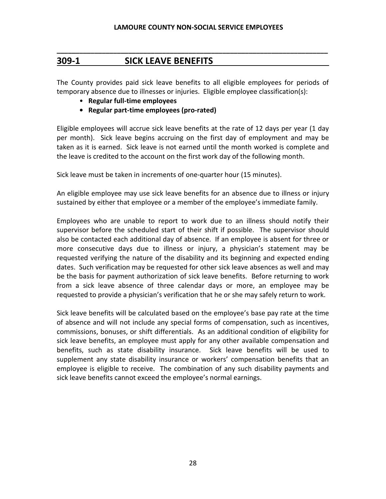# **309-1 SICK LEAVE BENEFITS**

The County provides paid sick leave benefits to all eligible employees for periods of temporary absence due to illnesses or injuries. Eligible employee classification(s):

**\_\_\_\_\_\_\_\_\_\_\_\_\_\_\_\_\_\_\_\_\_\_\_\_\_\_\_\_\_\_\_\_\_\_\_\_\_\_\_\_\_\_\_\_\_\_\_\_\_\_\_\_\_\_\_\_\_\_\_\_\_\_\_\_\_\_\_\_\_\_\_\_**

- **Regular full-time employees**
- **Regular part-time employees (pro-rated)**

Eligible employees will accrue sick leave benefits at the rate of 12 days per year (1 day per month). Sick leave begins accruing on the first day of employment and may be taken as it is earned. Sick leave is not earned until the month worked is complete and the leave is credited to the account on the first work day of the following month.

Sick leave must be taken in increments of one-quarter hour (15 minutes).

An eligible employee may use sick leave benefits for an absence due to illness or injury sustained by either that employee or a member of the employee's immediate family.

Employees who are unable to report to work due to an illness should notify their supervisor before the scheduled start of their shift if possible. The supervisor should also be contacted each additional day of absence. If an employee is absent for three or more consecutive days due to illness or injury, a physician's statement may be requested verifying the nature of the disability and its beginning and expected ending dates. Such verification may be requested for other sick leave absences as well and may be the basis for payment authorization of sick leave benefits. Before returning to work from a sick leave absence of three calendar days or more, an employee may be requested to provide a physician's verification that he or she may safely return to work.

Sick leave benefits will be calculated based on the employee's base pay rate at the time of absence and will not include any special forms of compensation, such as incentives, commissions, bonuses, or shift differentials. As an additional condition of eligibility for sick leave benefits, an employee must apply for any other available compensation and benefits, such as state disability insurance. Sick leave benefits will be used to supplement any state disability insurance or workers' compensation benefits that an employee is eligible to receive. The combination of any such disability payments and sick leave benefits cannot exceed the employee's normal earnings.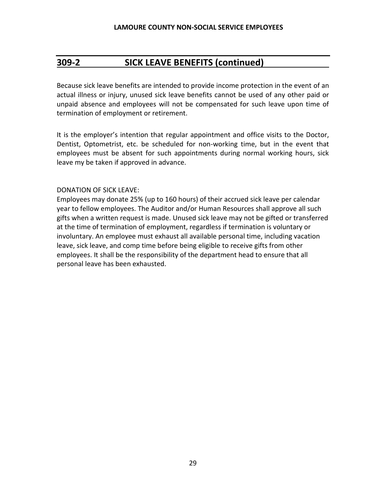# **309-2 SICK LEAVE BENEFITS (continued)**

Because sick leave benefits are intended to provide income protection in the event of an actual illness or injury, unused sick leave benefits cannot be used of any other paid or unpaid absence and employees will not be compensated for such leave upon time of termination of employment or retirement.

It is the employer's intention that regular appointment and office visits to the Doctor, Dentist, Optometrist, etc. be scheduled for non-working time, but in the event that employees must be absent for such appointments during normal working hours, sick leave my be taken if approved in advance.

#### DONATION OF SICK LEAVE:

Employees may donate 25% (up to 160 hours) of their accrued sick leave per calendar year to fellow employees. The Auditor and/or Human Resources shall approve all such gifts when a written request is made. Unused sick leave may not be gifted or transferred at the time of termination of employment, regardless if termination is voluntary or involuntary. An employee must exhaust all available personal time, including vacation leave, sick leave, and comp time before being eligible to receive gifts from other employees. It shall be the responsibility of the department head to ensure that all personal leave has been exhausted.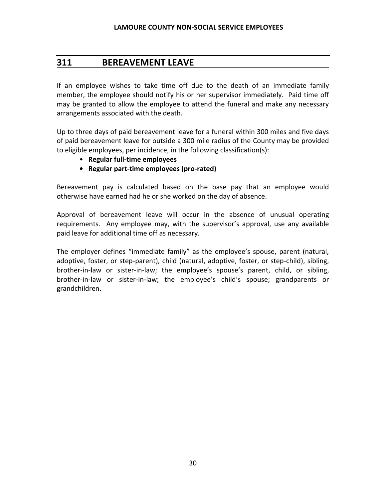#### <span id="page-29-0"></span>**311 BEREAVEMENT LEAVE**

If an employee wishes to take time off due to the death of an immediate family member, the employee should notify his or her supervisor immediately. Paid time off may be granted to allow the employee to attend the funeral and make any necessary arrangements associated with the death.

Up to three days of paid bereavement leave for a funeral within 300 miles and five days of paid bereavement leave for outside a 300 mile radius of the County may be provided to eligible employees, per incidence, in the following classification(s):

- **Regular full-time employees**
- **Regular part-time employees (pro-rated)**

Bereavement pay is calculated based on the base pay that an employee would otherwise have earned had he or she worked on the day of absence.

Approval of bereavement leave will occur in the absence of unusual operating requirements. Any employee may, with the supervisor's approval, use any available paid leave for additional time off as necessary.

The employer defines "immediate family" as the employee's spouse, parent (natural, adoptive, foster, or step-parent), child (natural, adoptive, foster, or step-child), sibling, brother-in-law or sister-in-law; the employee's spouse's parent, child, or sibling, brother-in-law or sister-in-law; the employee's child's spouse; grandparents or grandchildren.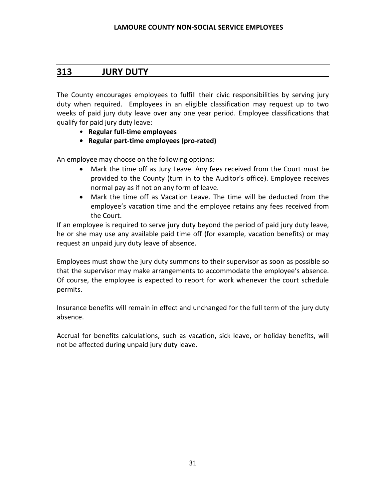# <span id="page-30-0"></span>**313 JURY DUTY**

The County encourages employees to fulfill their civic responsibilities by serving jury duty when required. Employees in an eligible classification may request up to two weeks of paid jury duty leave over any one year period. Employee classifications that qualify for paid jury duty leave:

- **Regular full-time employees**
- **Regular part-time employees (pro-rated)**

An employee may choose on the following options:

- Mark the time off as Jury Leave. Any fees received from the Court must be provided to the County (turn in to the Auditor's office). Employee receives normal pay as if not on any form of leave.
- Mark the time off as Vacation Leave. The time will be deducted from the employee's vacation time and the employee retains any fees received from the Court.

If an employee is required to serve jury duty beyond the period of paid jury duty leave, he or she may use any available paid time off (for example, vacation benefits) or may request an unpaid jury duty leave of absence.

Employees must show the jury duty summons to their supervisor as soon as possible so that the supervisor may make arrangements to accommodate the employee's absence. Of course, the employee is expected to report for work whenever the court schedule permits.

Insurance benefits will remain in effect and unchanged for the full term of the jury duty absence.

Accrual for benefits calculations, such as vacation, sick leave, or holiday benefits, will not be affected during unpaid jury duty leave.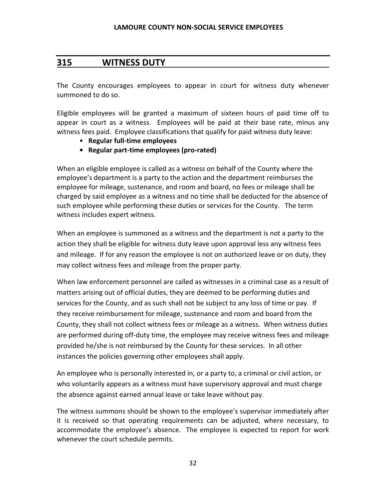### <span id="page-31-0"></span>**315 WITNESS DUTY**

The County encourages employees to appear in court for witness duty whenever summoned to do so.

Eligible employees will be granted a maximum of sixteen hours of paid time off to appear in court as a witness. Employees will be paid at their base rate, minus any witness fees paid. Employee classifications that qualify for paid witness duty leave:

- **Regular full-time employees**
- **Regular part-time employees (pro-rated)**

When an eligible employee is called as a witness on behalf of the County where the employee's department is a party to the action and the department reimburses the employee for mileage, sustenance, and room and board, no fees or mileage shall be charged by said employee as a witness and no time shall be deducted for the absence of such employee while performing these duties or services for the County. The term witness includes expert witness.

When an employee is summoned as a witness and the department is not a party to the action they shall be eligible for witness duty leave upon approval less any witness fees and mileage. If for any reason the employee is not on authorized leave or on duty, they may collect witness fees and mileage from the proper party.

When law enforcement personnel are called as witnesses in a criminal case as a result of matters arising out of official duties, they are deemed to be performing duties and services for the County, and as such shall not be subject to any loss of time or pay. If they receive reimbursement for mileage, sustenance and room and board from the County, they shall not collect witness fees or mileage as a witness. When witness duties are performed during off-duty time, the employee may receive witness fees and mileage provided he/she is not reimbursed by the County for these services. In all other instances the policies governing other employees shall apply.

An employee who is personally interested in, or a party to, a criminal or civil action, or who voluntarily appears as a witness must have supervisory approval and must charge the absence against earned annual leave or take leave without pay.

The witness summons should be shown to the employee's supervisor immediately after it is received so that operating requirements can be adjusted, where necessary, to accommodate the employee's absence. The employee is expected to report for work whenever the court schedule permits.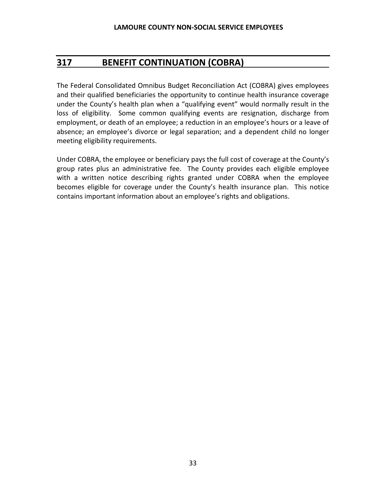# <span id="page-32-0"></span>**317 BENEFIT CONTINUATION (COBRA)**

The Federal Consolidated Omnibus Budget Reconciliation Act (COBRA) gives employees and their qualified beneficiaries the opportunity to continue health insurance coverage under the County's health plan when a "qualifying event" would normally result in the loss of eligibility. Some common qualifying events are resignation, discharge from employment, or death of an employee; a reduction in an employee's hours or a leave of absence; an employee's divorce or legal separation; and a dependent child no longer meeting eligibility requirements.

Under COBRA, the employee or beneficiary pays the full cost of coverage at the County's group rates plus an administrative fee. The County provides each eligible employee with a written notice describing rights granted under COBRA when the employee becomes eligible for coverage under the County's health insurance plan. This notice contains important information about an employee's rights and obligations.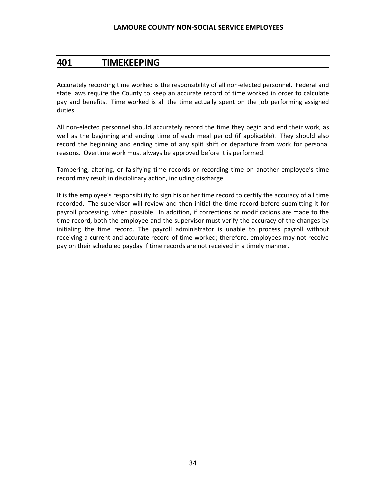#### <span id="page-33-0"></span>**401 TIMEKEEPING**

Accurately recording time worked is the responsibility of all non-elected personnel. Federal and state laws require the County to keep an accurate record of time worked in order to calculate pay and benefits. Time worked is all the time actually spent on the job performing assigned duties.

All non-elected personnel should accurately record the time they begin and end their work, as well as the beginning and ending time of each meal period (if applicable). They should also record the beginning and ending time of any split shift or departure from work for personal reasons. Overtime work must always be approved before it is performed.

Tampering, altering, or falsifying time records or recording time on another employee's time record may result in disciplinary action, including discharge.

It is the employee's responsibility to sign his or her time record to certify the accuracy of all time recorded. The supervisor will review and then initial the time record before submitting it for payroll processing, when possible. In addition, if corrections or modifications are made to the time record, both the employee and the supervisor must verify the accuracy of the changes by initialing the time record. The payroll administrator is unable to process payroll without receiving a current and accurate record of time worked; therefore, employees may not receive pay on their scheduled payday if time records are not received in a timely manner.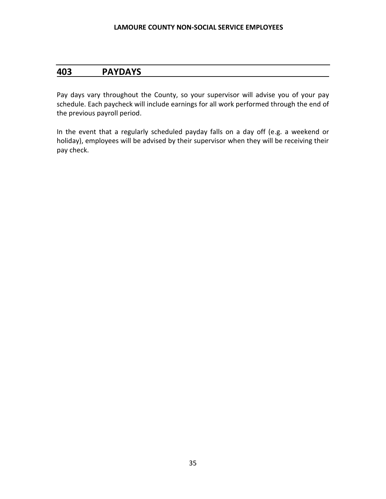# <span id="page-34-0"></span>**403 PAYDAYS**

Pay days vary throughout the County, so your supervisor will advise you of your pay schedule. Each paycheck will include earnings for all work performed through the end of the previous payroll period.

In the event that a regularly scheduled payday falls on a day off (e.g. a weekend or holiday), employees will be advised by their supervisor when they will be receiving their pay check.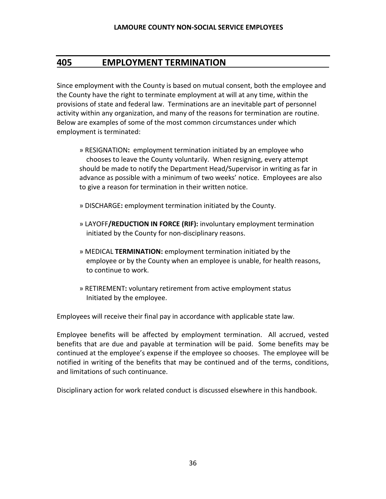### <span id="page-35-0"></span>**405 EMPLOYMENT TERMINATION**

Since employment with the County is based on mutual consent, both the employee and the County have the right to terminate employment at will at any time, within the provisions of state and federal law. Terminations are an inevitable part of personnel activity within any organization, and many of the reasons for termination are routine. Below are examples of some of the most common circumstances under which employment is terminated:

- » RESIGNATION**:** employment termination initiated by an employee who chooses to leave the County voluntarily. When resigning, every attempt should be made to notify the Department Head/Supervisor in writing as far in advance as possible with a minimum of two weeks' notice. Employees are also to give a reason for termination in their written notice.
- » DISCHARGE**:** employment termination initiated by the County.
- » LAYOFF**/REDUCTION IN FORCE (RIF):** involuntary employment termination initiated by the County for non-disciplinary reasons.
- » MEDICAL **TERMINATION:** employment termination initiated by the employee or by the County when an employee is unable, for health reasons, to continue to work.
- » RETIREMENT**:** voluntary retirement from active employment status Initiated by the employee.

Employees will receive their final pay in accordance with applicable state law.

Employee benefits will be affected by employment termination. All accrued, vested benefits that are due and payable at termination will be paid. Some benefits may be continued at the employee's expense if the employee so chooses. The employee will be notified in writing of the benefits that may be continued and of the terms, conditions, and limitations of such continuance.

Disciplinary action for work related conduct is discussed elsewhere in this handbook.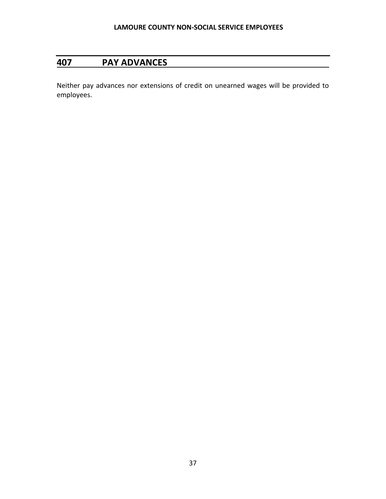## **407 PAY ADVANCES**

Neither pay advances nor extensions of credit on unearned wages will be provided to employees.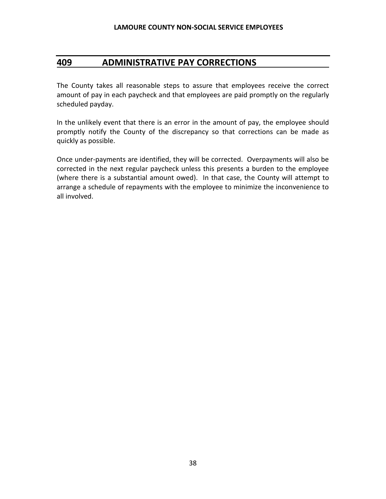## **409 ADMINISTRATIVE PAY CORRECTIONS**

The County takes all reasonable steps to assure that employees receive the correct amount of pay in each paycheck and that employees are paid promptly on the regularly scheduled payday.

In the unlikely event that there is an error in the amount of pay, the employee should promptly notify the County of the discrepancy so that corrections can be made as quickly as possible.

Once under-payments are identified, they will be corrected. Overpayments will also be corrected in the next regular paycheck unless this presents a burden to the employee (where there is a substantial amount owed). In that case, the County will attempt to arrange a schedule of repayments with the employee to minimize the inconvenience to all involved.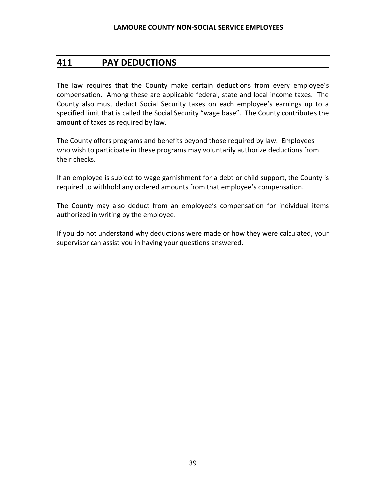### **411 PAY DEDUCTIONS**

The law requires that the County make certain deductions from every employee's compensation. Among these are applicable federal, state and local income taxes. The County also must deduct Social Security taxes on each employee's earnings up to a specified limit that is called the Social Security "wage base". The County contributes the amount of taxes as required by law.

The County offers programs and benefits beyond those required by law. Employees who wish to participate in these programs may voluntarily authorize deductions from their checks.

If an employee is subject to wage garnishment for a debt or child support, the County is required to withhold any ordered amounts from that employee's compensation.

The County may also deduct from an employee's compensation for individual items authorized in writing by the employee.

If you do not understand why deductions were made or how they were calculated, your supervisor can assist you in having your questions answered.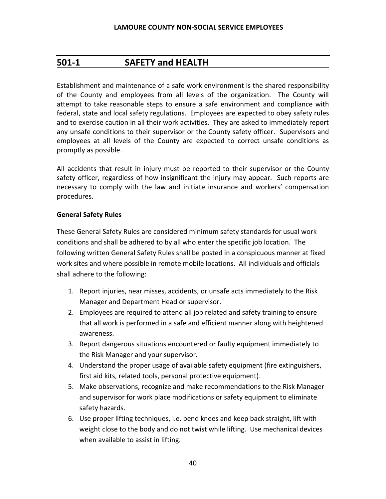## **501-1 SAFETY and HEALTH**

Establishment and maintenance of a safe work environment is the shared responsibility of the County and employees from all levels of the organization. The County will attempt to take reasonable steps to ensure a safe environment and compliance with federal, state and local safety regulations. Employees are expected to obey safety rules and to exercise caution in all their work activities. They are asked to immediately report any unsafe conditions to their supervisor or the County safety officer. Supervisors and employees at all levels of the County are expected to correct unsafe conditions as promptly as possible.

All accidents that result in injury must be reported to their supervisor or the County safety officer, regardless of how insignificant the injury may appear. Such reports are necessary to comply with the law and initiate insurance and workers' compensation procedures.

#### **General Safety Rules**

These General Safety Rules are considered minimum safety standards for usual work conditions and shall be adhered to by all who enter the specific job location. The following written General Safety Rules shall be posted in a conspicuous manner at fixed work sites and where possible in remote mobile locations. All individuals and officials shall adhere to the following:

- 1. Report injuries, near misses, accidents, or unsafe acts immediately to the Risk Manager and Department Head or supervisor.
- 2. Employees are required to attend all job related and safety training to ensure that all work is performed in a safe and efficient manner along with heightened awareness.
- 3. Report dangerous situations encountered or faulty equipment immediately to the Risk Manager and your supervisor.
- 4. Understand the proper usage of available safety equipment (fire extinguishers, first aid kits, related tools, personal protective equipment).
- 5. Make observations, recognize and make recommendations to the Risk Manager and supervisor for work place modifications or safety equipment to eliminate safety hazards.
- 6. Use proper lifting techniques, i.e. bend knees and keep back straight, lift with weight close to the body and do not twist while lifting. Use mechanical devices when available to assist in lifting.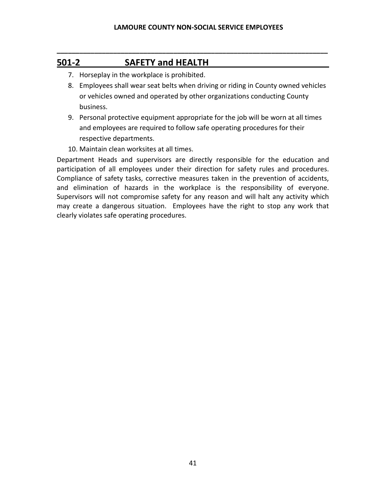**\_\_\_\_\_\_\_\_\_\_\_\_\_\_\_\_\_\_\_\_\_\_\_\_\_\_\_\_\_\_\_\_\_\_\_\_\_\_\_\_\_\_\_\_\_\_\_\_\_\_\_\_\_\_\_\_\_\_\_\_\_\_\_\_\_\_\_\_\_\_\_\_**

# **501-2 SAFETY and HEALTH**

- 7. Horseplay in the workplace is prohibited.
- 8. Employees shall wear seat belts when driving or riding in County owned vehicles or vehicles owned and operated by other organizations conducting County business.
- 9. Personal protective equipment appropriate for the job will be worn at all times and employees are required to follow safe operating procedures for their respective departments.
- 10. Maintain clean worksites at all times.

Department Heads and supervisors are directly responsible for the education and participation of all employees under their direction for safety rules and procedures. Compliance of safety tasks, corrective measures taken in the prevention of accidents, and elimination of hazards in the workplace is the responsibility of everyone. Supervisors will not compromise safety for any reason and will halt any activity which may create a dangerous situation. Employees have the right to stop any work that clearly violates safe operating procedures.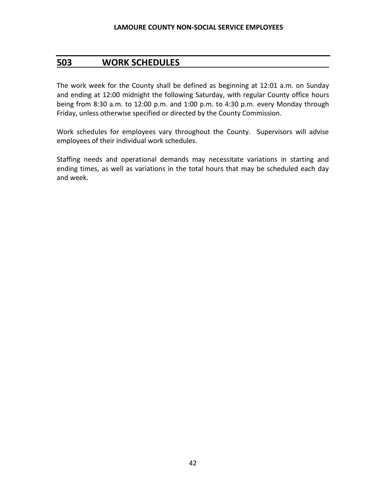### **503 WORK SCHEDULES**

The work week for the County shall be defined as beginning at 12:01 a.m. on Sunday and ending at 12:00 midnight the following Saturday, with regular County office hours being from 8:30 a.m. to 12:00 p.m. and 1:00 p.m. to 4:30 p.m. every Monday through Friday, unless otherwise specified or directed by the County Commission.

Work schedules for employees vary throughout the County. Supervisors will advise employees of their individual work schedules.

Staffing needs and operational demands may necessitate variations in starting and ending times, as well as variations in the total hours that may be scheduled each day and week.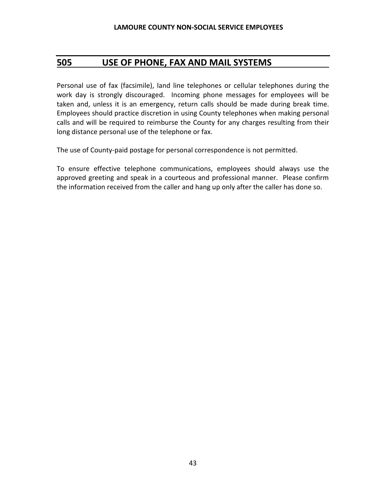### **505 USE OF PHONE, FAX AND MAIL SYSTEMS**

Personal use of fax (facsimile), land line telephones or cellular telephones during the work day is strongly discouraged. Incoming phone messages for employees will be taken and, unless it is an emergency, return calls should be made during break time. Employees should practice discretion in using County telephones when making personal calls and will be required to reimburse the County for any charges resulting from their long distance personal use of the telephone or fax.

The use of County-paid postage for personal correspondence is not permitted.

To ensure effective telephone communications, employees should always use the approved greeting and speak in a courteous and professional manner. Please confirm the information received from the caller and hang up only after the caller has done so.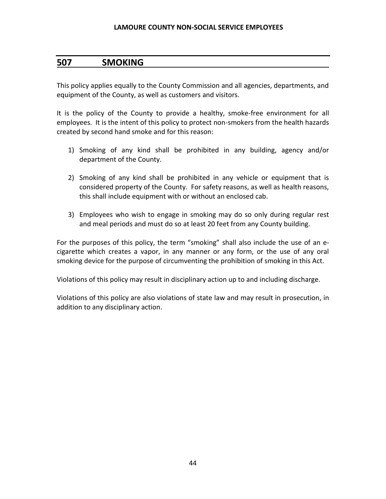### **507 SMOKING**

This policy applies equally to the County Commission and all agencies, departments, and equipment of the County, as well as customers and visitors.

It is the policy of the County to provide a healthy, smoke-free environment for all employees. It is the intent of this policy to protect non-smokers from the health hazards created by second hand smoke and for this reason:

- 1) Smoking of any kind shall be prohibited in any building, agency and/or department of the County.
- 2) Smoking of any kind shall be prohibited in any vehicle or equipment that is considered property of the County. For safety reasons, as well as health reasons, this shall include equipment with or without an enclosed cab.
- 3) Employees who wish to engage in smoking may do so only during regular rest and meal periods and must do so at least 20 feet from any County building.

For the purposes of this policy, the term "smoking" shall also include the use of an ecigarette which creates a vapor, in any manner or any form, or the use of any oral smoking device for the purpose of circumventing the prohibition of smoking in this Act.

Violations of this policy may result in disciplinary action up to and including discharge.

Violations of this policy are also violations of state law and may result in prosecution, in addition to any disciplinary action.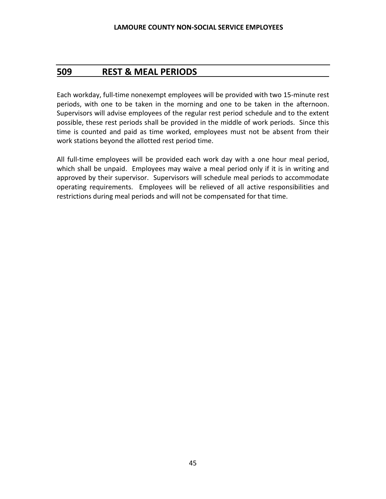## **509 REST & MEAL PERIODS**

Each workday, full-time nonexempt employees will be provided with two 15-minute rest periods, with one to be taken in the morning and one to be taken in the afternoon. Supervisors will advise employees of the regular rest period schedule and to the extent possible, these rest periods shall be provided in the middle of work periods. Since this time is counted and paid as time worked, employees must not be absent from their work stations beyond the allotted rest period time.

All full-time employees will be provided each work day with a one hour meal period, which shall be unpaid. Employees may waive a meal period only if it is in writing and approved by their supervisor. Supervisors will schedule meal periods to accommodate operating requirements. Employees will be relieved of all active responsibilities and restrictions during meal periods and will not be compensated for that time.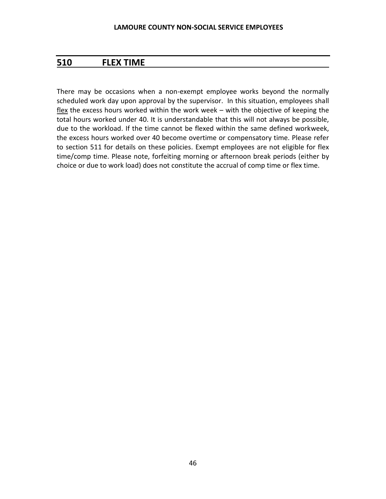## **510 FLEX TIME**

There may be occasions when a non-exempt employee works beyond the normally scheduled work day upon approval by the supervisor. In this situation, employees shall flex the excess hours worked within the work week – with the objective of keeping the total hours worked under 40. It is understandable that this will not always be possible, due to the workload. If the time cannot be flexed within the same defined workweek, the excess hours worked over 40 become overtime or compensatory time. Please refer to section 511 for details on these policies. Exempt employees are not eligible for flex time/comp time. Please note, forfeiting morning or afternoon break periods (either by choice or due to work load) does not constitute the accrual of comp time or flex time.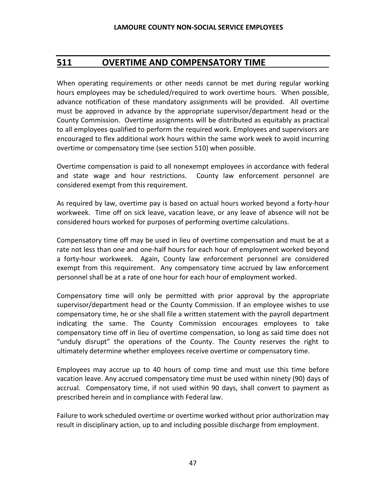## **511 OVERTIME AND COMPENSATORY TIME**

When operating requirements or other needs cannot be met during regular working hours employees may be scheduled/required to work overtime hours. When possible, advance notification of these mandatory assignments will be provided. All overtime must be approved in advance by the appropriate supervisor/department head or the County Commission. Overtime assignments will be distributed as equitably as practical to all employees qualified to perform the required work. Employees and supervisors are encouraged to flex additional work hours within the same work week to avoid incurring overtime or compensatory time (see section 510) when possible.

Overtime compensation is paid to all nonexempt employees in accordance with federal and state wage and hour restrictions. County law enforcement personnel are considered exempt from this requirement.

As required by law, overtime pay is based on actual hours worked beyond a forty-hour workweek. Time off on sick leave, vacation leave, or any leave of absence will not be considered hours worked for purposes of performing overtime calculations.

Compensatory time off may be used in lieu of overtime compensation and must be at a rate not less than one and one-half hours for each hour of employment worked beyond a forty-hour workweek. Again, County law enforcement personnel are considered exempt from this requirement. Any compensatory time accrued by law enforcement personnel shall be at a rate of one hour for each hour of employment worked.

Compensatory time will only be permitted with prior approval by the appropriate supervisor/department head or the County Commission. If an employee wishes to use compensatory time, he or she shall file a written statement with the payroll department indicating the same. The County Commission encourages employees to take compensatory time off in lieu of overtime compensation, so long as said time does not "unduly disrupt" the operations of the County. The County reserves the right to ultimately determine whether employees receive overtime or compensatory time.

Employees may accrue up to 40 hours of comp time and must use this time before vacation leave. Any accrued compensatory time must be used within ninety (90) days of accrual. Compensatory time, if not used within 90 days, shall convert to payment as prescribed herein and in compliance with Federal law.

Failure to work scheduled overtime or overtime worked without prior authorization may result in disciplinary action, up to and including possible discharge from employment.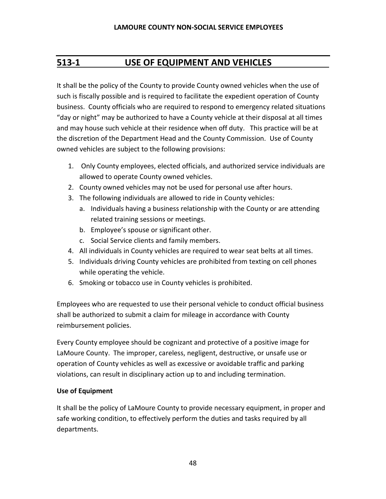## **513-1 USE OF EQUIPMENT AND VEHICLES**

It shall be the policy of the County to provide County owned vehicles when the use of such is fiscally possible and is required to facilitate the expedient operation of County business. County officials who are required to respond to emergency related situations "day or night" may be authorized to have a County vehicle at their disposal at all times and may house such vehicle at their residence when off duty. This practice will be at the discretion of the Department Head and the County Commission. Use of County owned vehicles are subject to the following provisions:

- 1. Only County employees, elected officials, and authorized service individuals are allowed to operate County owned vehicles.
- 2. County owned vehicles may not be used for personal use after hours.
- 3. The following individuals are allowed to ride in County vehicles:
	- a. Individuals having a business relationship with the County or are attending related training sessions or meetings.
	- b. Employee's spouse or significant other.
	- c. Social Service clients and family members.
- 4. All individuals in County vehicles are required to wear seat belts at all times.
- 5. Individuals driving County vehicles are prohibited from texting on cell phones while operating the vehicle.
- 6. Smoking or tobacco use in County vehicles is prohibited.

Employees who are requested to use their personal vehicle to conduct official business shall be authorized to submit a claim for mileage in accordance with County reimbursement policies.

Every County employee should be cognizant and protective of a positive image for LaMoure County. The improper, careless, negligent, destructive, or unsafe use or operation of County vehicles as well as excessive or avoidable traffic and parking violations, can result in disciplinary action up to and including termination.

#### **Use of Equipment**

It shall be the policy of LaMoure County to provide necessary equipment, in proper and safe working condition, to effectively perform the duties and tasks required by all departments.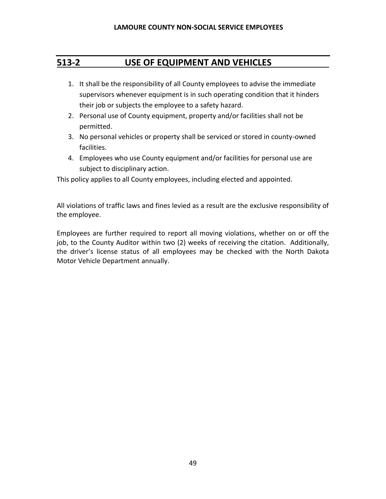## **513-2 USE OF EQUIPMENT AND VEHICLES**

- 1. It shall be the responsibility of all County employees to advise the immediate supervisors whenever equipment is in such operating condition that it hinders their job or subjects the employee to a safety hazard.
- 2. Personal use of County equipment, property and/or facilities shall not be permitted.
- 3. No personal vehicles or property shall be serviced or stored in county-owned facilities.
- 4. Employees who use County equipment and/or facilities for personal use are subject to disciplinary action.

This policy applies to all County employees, including elected and appointed.

All violations of traffic laws and fines levied as a result are the exclusive responsibility of the employee.

Employees are further required to report all moving violations, whether on or off the job, to the County Auditor within two (2) weeks of receiving the citation. Additionally, the driver's license status of all employees may be checked with the North Dakota Motor Vehicle Department annually.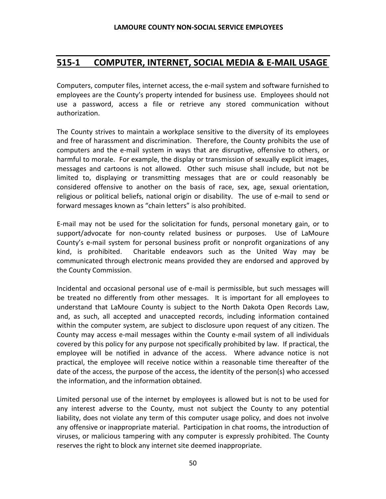## **515-1 COMPUTER, INTERNET, SOCIAL MEDIA & E-MAIL USAGE**

Computers, computer files, internet access, the e-mail system and software furnished to employees are the County's property intended for business use. Employees should not use a password, access a file or retrieve any stored communication without authorization.

The County strives to maintain a workplace sensitive to the diversity of its employees and free of harassment and discrimination. Therefore, the County prohibits the use of computers and the e-mail system in ways that are disruptive, offensive to others, or harmful to morale. For example, the display or transmission of sexually explicit images, messages and cartoons is not allowed. Other such misuse shall include, but not be limited to, displaying or transmitting messages that are or could reasonably be considered offensive to another on the basis of race, sex, age, sexual orientation, religious or political beliefs, national origin or disability. The use of e-mail to send or forward messages known as "chain letters" is also prohibited.

E-mail may not be used for the solicitation for funds, personal monetary gain, or to support/advocate for non-county related business or purposes. Use of LaMoure County's e-mail system for personal business profit or nonprofit organizations of any kind, is prohibited. Charitable endeavors such as the United Way may be communicated through electronic means provided they are endorsed and approved by the County Commission.

Incidental and occasional personal use of e-mail is permissible, but such messages will be treated no differently from other messages. It is important for all employees to understand that LaMoure County is subject to the North Dakota Open Records Law, and, as such, all accepted and unaccepted records, including information contained within the computer system, are subject to disclosure upon request of any citizen. The County may access e-mail messages within the County e-mail system of all individuals covered by this policy for any purpose not specifically prohibited by law. If practical, the employee will be notified in advance of the access. Where advance notice is not practical, the employee will receive notice within a reasonable time thereafter of the date of the access, the purpose of the access, the identity of the person(s) who accessed the information, and the information obtained.

Limited personal use of the internet by employees is allowed but is not to be used for any interest adverse to the County, must not subject the County to any potential liability, does not violate any term of this computer usage policy, and does not involve any offensive or inappropriate material. Participation in chat rooms, the introduction of viruses, or malicious tampering with any computer is expressly prohibited. The County reserves the right to block any internet site deemed inappropriate.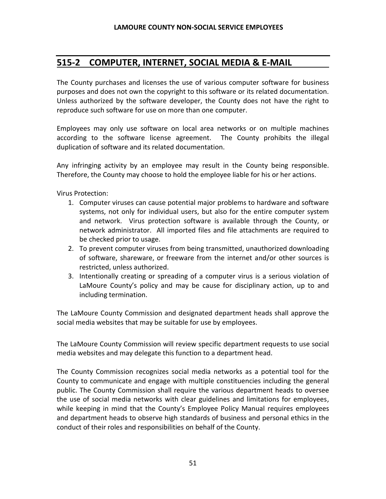## **515-2 COMPUTER, INTERNET, SOCIAL MEDIA & E-MAIL**

The County purchases and licenses the use of various computer software for business purposes and does not own the copyright to this software or its related documentation. Unless authorized by the software developer, the County does not have the right to reproduce such software for use on more than one computer.

Employees may only use software on local area networks or on multiple machines according to the software license agreement. The County prohibits the illegal duplication of software and its related documentation.

Any infringing activity by an employee may result in the County being responsible. Therefore, the County may choose to hold the employee liable for his or her actions.

Virus Protection:

- 1. Computer viruses can cause potential major problems to hardware and software systems, not only for individual users, but also for the entire computer system and network. Virus protection software is available through the County, or network administrator. All imported files and file attachments are required to be checked prior to usage.
- 2. To prevent computer viruses from being transmitted, unauthorized downloading of software, shareware, or freeware from the internet and/or other sources is restricted, unless authorized.
- 3. Intentionally creating or spreading of a computer virus is a serious violation of LaMoure County's policy and may be cause for disciplinary action, up to and including termination.

The LaMoure County Commission and designated department heads shall approve the social media websites that may be suitable for use by employees.

The LaMoure County Commission will review specific department requests to use social media websites and may delegate this function to a department head.

The County Commission recognizes social media networks as a potential tool for the County to communicate and engage with multiple constituencies including the general public. The County Commission shall require the various department heads to oversee the use of social media networks with clear guidelines and limitations for employees, while keeping in mind that the County's Employee Policy Manual requires employees and department heads to observe high standards of business and personal ethics in the conduct of their roles and responsibilities on behalf of the County.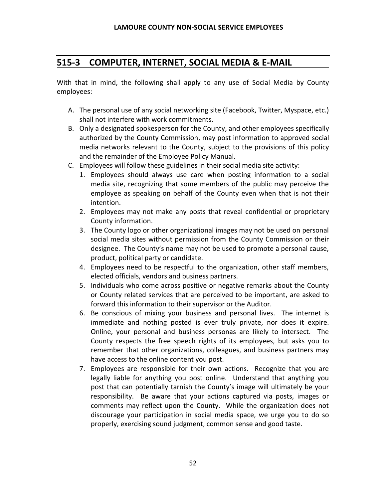## **515-3 COMPUTER, INTERNET, SOCIAL MEDIA & E-MAIL**

With that in mind, the following shall apply to any use of Social Media by County employees:

- A. The personal use of any social networking site (Facebook, Twitter, Myspace, etc.) shall not interfere with work commitments.
- B. Only a designated spokesperson for the County, and other employees specifically authorized by the County Commission, may post information to approved social media networks relevant to the County, subject to the provisions of this policy and the remainder of the Employee Policy Manual.
- C. Employees will follow these guidelines in their social media site activity:
	- 1. Employees should always use care when posting information to a social media site, recognizing that some members of the public may perceive the employee as speaking on behalf of the County even when that is not their intention.
	- 2. Employees may not make any posts that reveal confidential or proprietary County information.
	- 3. The County logo or other organizational images may not be used on personal social media sites without permission from the County Commission or their designee. The County's name may not be used to promote a personal cause, product, political party or candidate.
	- 4. Employees need to be respectful to the organization, other staff members, elected officials, vendors and business partners.
	- 5. Individuals who come across positive or negative remarks about the County or County related services that are perceived to be important, are asked to forward this information to their supervisor or the Auditor.
	- 6. Be conscious of mixing your business and personal lives. The internet is immediate and nothing posted is ever truly private, nor does it expire. Online, your personal and business personas are likely to intersect. The County respects the free speech rights of its employees, but asks you to remember that other organizations, colleagues, and business partners may have access to the online content you post.
	- 7. Employees are responsible for their own actions. Recognize that you are legally liable for anything you post online. Understand that anything you post that can potentially tarnish the County's image will ultimately be your responsibility. Be aware that your actions captured via posts, images or comments may reflect upon the County. While the organization does not discourage your participation in social media space, we urge you to do so properly, exercising sound judgment, common sense and good taste.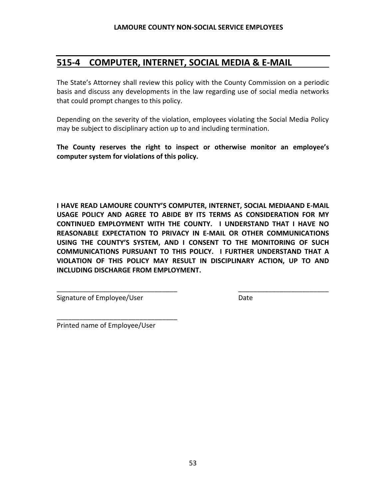## **515-4 COMPUTER, INTERNET, SOCIAL MEDIA & E-MAIL**

The State's Attorney shall review this policy with the County Commission on a periodic basis and discuss any developments in the law regarding use of social media networks that could prompt changes to this policy.

Depending on the severity of the violation, employees violating the Social Media Policy may be subject to disciplinary action up to and including termination.

**The County reserves the right to inspect or otherwise monitor an employee's computer system for violations of this policy.**

**I HAVE READ LAMOURE COUNTY'S COMPUTER, INTERNET, SOCIAL MEDIAAND E-MAIL USAGE POLICY AND AGREE TO ABIDE BY ITS TERMS AS CONSIDERATION FOR MY CONTINUED EMPLOYMENT WITH THE COUNTY. I UNDERSTAND THAT I HAVE NO REASONABLE EXPECTATION TO PRIVACY IN E-MAIL OR OTHER COMMUNICATIONS USING THE COUNTY'S SYSTEM, AND I CONSENT TO THE MONITORING OF SUCH COMMUNICATIONS PURSUANT TO THIS POLICY. I FURTHER UNDERSTAND THAT A VIOLATION OF THIS POLICY MAY RESULT IN DISCIPLINARY ACTION, UP TO AND INCLUDING DISCHARGE FROM EMPLOYMENT.**

\_\_\_\_\_\_\_\_\_\_\_\_\_\_\_\_\_\_\_\_\_\_\_\_\_\_\_\_\_\_\_\_ \_\_\_\_\_\_\_\_\_\_\_\_\_\_\_\_\_\_\_\_\_\_\_\_

Signature of Employee/User **Date** Date

Printed name of Employee/User

\_\_\_\_\_\_\_\_\_\_\_\_\_\_\_\_\_\_\_\_\_\_\_\_\_\_\_\_\_\_\_\_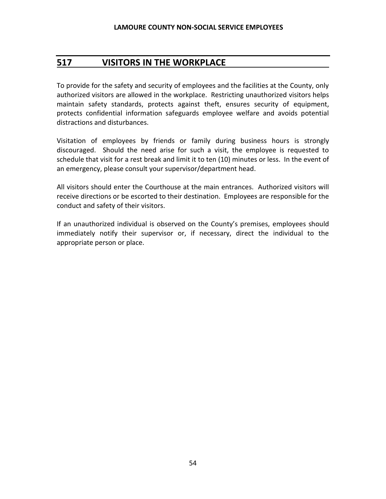## **517 VISITORS IN THE WORKPLACE**

To provide for the safety and security of employees and the facilities at the County, only authorized visitors are allowed in the workplace. Restricting unauthorized visitors helps maintain safety standards, protects against theft, ensures security of equipment, protects confidential information safeguards employee welfare and avoids potential distractions and disturbances.

Visitation of employees by friends or family during business hours is strongly discouraged. Should the need arise for such a visit, the employee is requested to schedule that visit for a rest break and limit it to ten (10) minutes or less. In the event of an emergency, please consult your supervisor/department head.

All visitors should enter the Courthouse at the main entrances. Authorized visitors will receive directions or be escorted to their destination. Employees are responsible for the conduct and safety of their visitors.

If an unauthorized individual is observed on the County's premises, employees should immediately notify their supervisor or, if necessary, direct the individual to the appropriate person or place.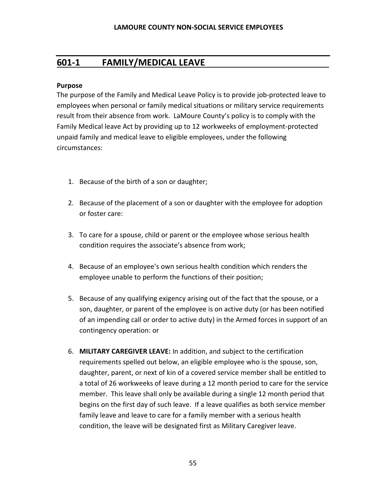## **601-1 FAMILY/MEDICAL LEAVE**

#### **Purpose**

The purpose of the Family and Medical Leave Policy is to provide job-protected leave to employees when personal or family medical situations or military service requirements result from their absence from work. LaMoure County's policy is to comply with the Family Medical leave Act by providing up to 12 workweeks of employment-protected unpaid family and medical leave to eligible employees, under the following circumstances:

- 1. Because of the birth of a son or daughter;
- 2. Because of the placement of a son or daughter with the employee for adoption or foster care:
- 3. To care for a spouse, child or parent or the employee whose serious health condition requires the associate's absence from work;
- 4. Because of an employee's own serious health condition which renders the employee unable to perform the functions of their position;
- 5. Because of any qualifying exigency arising out of the fact that the spouse, or a son, daughter, or parent of the employee is on active duty (or has been notified of an impending call or order to active duty) in the Armed forces in support of an contingency operation: or
- 6. **MILITARY CAREGIVER LEAVE:** In addition, and subject to the certification requirements spelled out below, an eligible employee who is the spouse, son, daughter, parent, or next of kin of a covered service member shall be entitled to a total of 26 workweeks of leave during a 12 month period to care for the service member. This leave shall only be available during a single 12 month period that begins on the first day of such leave. If a leave qualifies as both service member family leave and leave to care for a family member with a serious health condition, the leave will be designated first as Military Caregiver leave.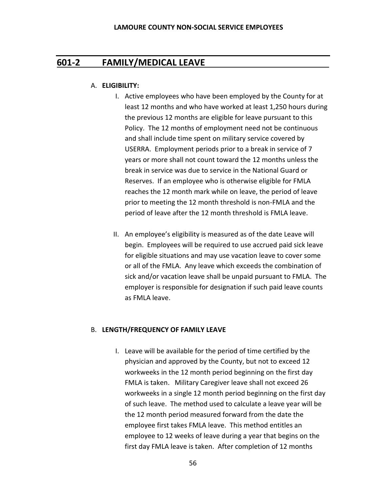### **601-2 FAMILY/MEDICAL LEAVE**

#### A. **ELIGIBILITY:**

- I. Active employees who have been employed by the County for at least 12 months and who have worked at least 1,250 hours during the previous 12 months are eligible for leave pursuant to this Policy. The 12 months of employment need not be continuous and shall include time spent on military service covered by USERRA. Employment periods prior to a break in service of 7 years or more shall not count toward the 12 months unless the break in service was due to service in the National Guard or Reserves. If an employee who is otherwise eligible for FMLA reaches the 12 month mark while on leave, the period of leave prior to meeting the 12 month threshold is non-FMLA and the period of leave after the 12 month threshold is FMLA leave.
- II. An employee's eligibility is measured as of the date Leave will begin. Employees will be required to use accrued paid sick leave for eligible situations and may use vacation leave to cover some or all of the FMLA. Any leave which exceeds the combination of sick and/or vacation leave shall be unpaid pursuant to FMLA. The employer is responsible for designation if such paid leave counts as FMLA leave.

#### B. **LENGTH/FREQUENCY OF FAMILY LEAVE**

I. Leave will be available for the period of time certified by the physician and approved by the County, but not to exceed 12 workweeks in the 12 month period beginning on the first day FMLA is taken. Military Caregiver leave shall not exceed 26 workweeks in a single 12 month period beginning on the first day of such leave. The method used to calculate a leave year will be the 12 month period measured forward from the date the employee first takes FMLA leave. This method entitles an employee to 12 weeks of leave during a year that begins on the first day FMLA leave is taken. After completion of 12 months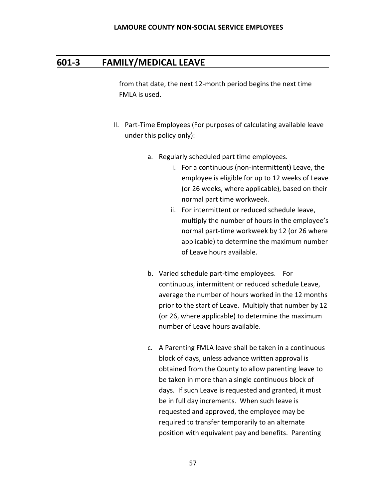### **601-3 FAMILY/MEDICAL LEAVE**

from that date, the next 12-month period begins the next time FMLA is used.

- II. Part-Time Employees (For purposes of calculating available leave under this policy only):
	- a. Regularly scheduled part time employees.
		- i. For a continuous (non-intermittent) Leave, the employee is eligible for up to 12 weeks of Leave (or 26 weeks, where applicable), based on their normal part time workweek.
		- ii. For intermittent or reduced schedule leave, multiply the number of hours in the employee's normal part-time workweek by 12 (or 26 where applicable) to determine the maximum number of Leave hours available.
	- b. Varied schedule part-time employees. For continuous, intermittent or reduced schedule Leave, average the number of hours worked in the 12 months prior to the start of Leave. Multiply that number by 12 (or 26, where applicable) to determine the maximum number of Leave hours available.
	- c. A Parenting FMLA leave shall be taken in a continuous block of days, unless advance written approval is obtained from the County to allow parenting leave to be taken in more than a single continuous block of days. If such Leave is requested and granted, it must be in full day increments. When such leave is requested and approved, the employee may be required to transfer temporarily to an alternate position with equivalent pay and benefits. Parenting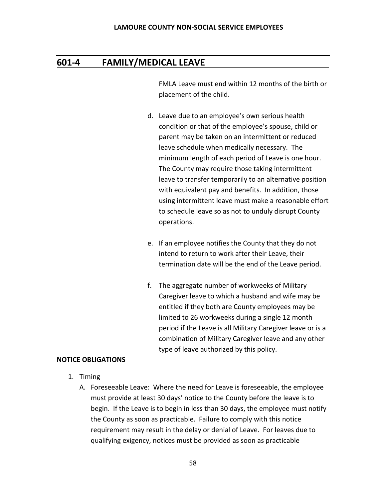### **601-4 FAMILY/MEDICAL LEAVE**

FMLA Leave must end within 12 months of the birth or placement of the child.

- d. Leave due to an employee's own serious health condition or that of the employee's spouse, child or parent may be taken on an intermittent or reduced leave schedule when medically necessary. The minimum length of each period of Leave is one hour. The County may require those taking intermittent leave to transfer temporarily to an alternative position with equivalent pay and benefits. In addition, those using intermittent leave must make a reasonable effort to schedule leave so as not to unduly disrupt County operations.
- e. If an employee notifies the County that they do not intend to return to work after their Leave, their termination date will be the end of the Leave period.
- f. The aggregate number of workweeks of Military Caregiver leave to which a husband and wife may be entitled if they both are County employees may be limited to 26 workweeks during a single 12 month period if the Leave is all Military Caregiver leave or is a combination of Military Caregiver leave and any other type of leave authorized by this policy.

#### **NOTICE OBLIGATIONS**

- 1. Timing
	- A. Foreseeable Leave: Where the need for Leave is foreseeable, the employee must provide at least 30 days' notice to the County before the leave is to begin. If the Leave is to begin in less than 30 days, the employee must notify the County as soon as practicable. Failure to comply with this notice requirement may result in the delay or denial of Leave. For leaves due to qualifying exigency, notices must be provided as soon as practicable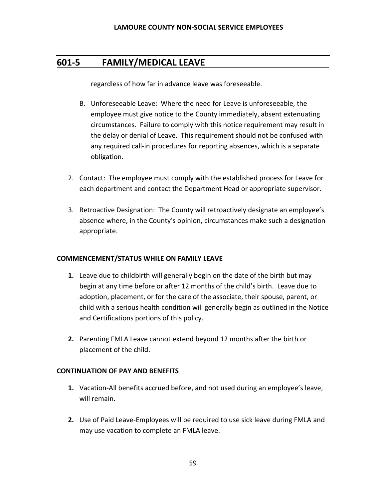## **601-5 FAMILY/MEDICAL LEAVE**

regardless of how far in advance leave was foreseeable.

- B. Unforeseeable Leave: Where the need for Leave is unforeseeable, the employee must give notice to the County immediately, absent extenuating circumstances. Failure to comply with this notice requirement may result in the delay or denial of Leave. This requirement should not be confused with any required call-in procedures for reporting absences, which is a separate obligation.
- 2. Contact: The employee must comply with the established process for Leave for each department and contact the Department Head or appropriate supervisor.
- 3. Retroactive Designation: The County will retroactively designate an employee's absence where, in the County's opinion, circumstances make such a designation appropriate.

#### **COMMENCEMENT/STATUS WHILE ON FAMILY LEAVE**

- **1.** Leave due to childbirth will generally begin on the date of the birth but may begin at any time before or after 12 months of the child's birth. Leave due to adoption, placement, or for the care of the associate, their spouse, parent, or child with a serious health condition will generally begin as outlined in the Notice and Certifications portions of this policy.
- **2.** Parenting FMLA Leave cannot extend beyond 12 months after the birth or placement of the child.

#### **CONTINUATION OF PAY AND BENEFITS**

- **1.** Vacation-All benefits accrued before, and not used during an employee's leave, will remain.
- **2.** Use of Paid Leave-Employees will be required to use sick leave during FMLA and may use vacation to complete an FMLA leave.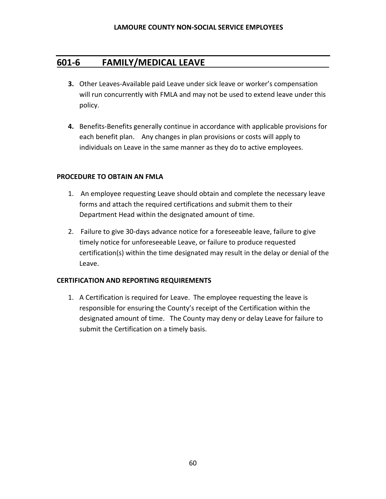## **601-6 FAMILY/MEDICAL LEAVE**

- **3.** Other Leaves-Available paid Leave under sick leave or worker's compensation will run concurrently with FMLA and may not be used to extend leave under this policy.
- **4.** Benefits-Benefits generally continue in accordance with applicable provisions for each benefit plan. Any changes in plan provisions or costs will apply to individuals on Leave in the same manner as they do to active employees.

#### **PROCEDURE TO OBTAIN AN FMLA**

- 1. An employee requesting Leave should obtain and complete the necessary leave forms and attach the required certifications and submit them to their Department Head within the designated amount of time.
- 2. Failure to give 30-days advance notice for a foreseeable leave, failure to give timely notice for unforeseeable Leave, or failure to produce requested certification(s) within the time designated may result in the delay or denial of the Leave.

#### **CERTIFICATION AND REPORTING REQUIREMENTS**

1. A Certification is required for Leave. The employee requesting the leave is responsible for ensuring the County's receipt of the Certification within the designated amount of time. The County may deny or delay Leave for failure to submit the Certification on a timely basis.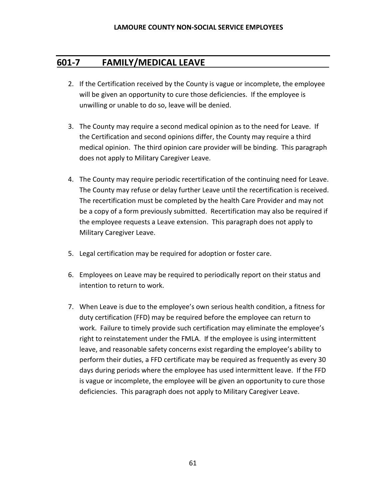## **601-7 FAMILY/MEDICAL LEAVE**

- 2. If the Certification received by the County is vague or incomplete, the employee will be given an opportunity to cure those deficiencies. If the employee is unwilling or unable to do so, leave will be denied.
- 3. The County may require a second medical opinion as to the need for Leave. If the Certification and second opinions differ, the County may require a third medical opinion. The third opinion care provider will be binding. This paragraph does not apply to Military Caregiver Leave.
- 4. The County may require periodic recertification of the continuing need for Leave. The County may refuse or delay further Leave until the recertification is received. The recertification must be completed by the health Care Provider and may not be a copy of a form previously submitted. Recertification may also be required if the employee requests a Leave extension. This paragraph does not apply to Military Caregiver Leave.
- 5. Legal certification may be required for adoption or foster care.
- 6. Employees on Leave may be required to periodically report on their status and intention to return to work.
- 7. When Leave is due to the employee's own serious health condition, a fitness for duty certification (FFD) may be required before the employee can return to work. Failure to timely provide such certification may eliminate the employee's right to reinstatement under the FMLA. If the employee is using intermittent leave, and reasonable safety concerns exist regarding the employee's ability to perform their duties, a FFD certificate may be required as frequently as every 30 days during periods where the employee has used intermittent leave. If the FFD is vague or incomplete, the employee will be given an opportunity to cure those deficiencies. This paragraph does not apply to Military Caregiver Leave.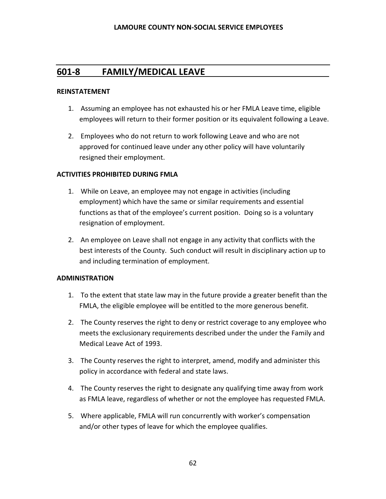## **601-8 FAMILY/MEDICAL LEAVE**

#### **REINSTATEMENT**

- 1. Assuming an employee has not exhausted his or her FMLA Leave time, eligible employees will return to their former position or its equivalent following a Leave.
- 2. Employees who do not return to work following Leave and who are not approved for continued leave under any other policy will have voluntarily resigned their employment.

#### **ACTIVITIES PROHIBITED DURING FMLA**

- 1. While on Leave, an employee may not engage in activities (including employment) which have the same or similar requirements and essential functions as that of the employee's current position. Doing so is a voluntary resignation of employment.
- 2. An employee on Leave shall not engage in any activity that conflicts with the best interests of the County. Such conduct will result in disciplinary action up to and including termination of employment.

#### **ADMINISTRATION**

- 1.To the extent that state law may in the future provide a greater benefit than the FMLA, the eligible employee will be entitled to the more generous benefit.
- 2. The County reserves the right to deny or restrict coverage to any employee who meets the exclusionary requirements described under the under the Family and Medical Leave Act of 1993.
- 3. The County reserves the right to interpret, amend, modify and administer this policy in accordance with federal and state laws.
- 4. The County reserves the right to designate any qualifying time away from work as FMLA leave, regardless of whether or not the employee has requested FMLA.
- 5. Where applicable, FMLA will run concurrently with worker's compensation and/or other types of leave for which the employee qualifies.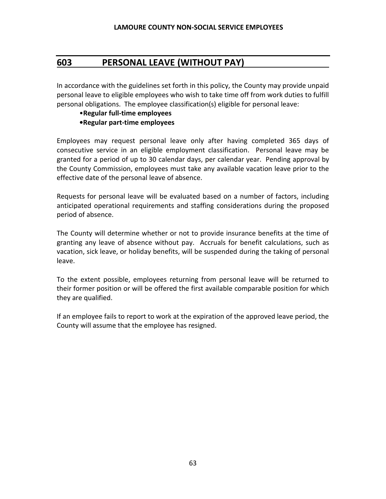## **603 PERSONAL LEAVE (WITHOUT PAY)**

In accordance with the guidelines set forth in this policy, the County may provide unpaid personal leave to eligible employees who wish to take time off from work duties to fulfill personal obligations. The employee classification(s) eligible for personal leave:

### •**Regular full-time employees**

#### **•Regular part-time employees**

Employees may request personal leave only after having completed 365 days of consecutive service in an eligible employment classification. Personal leave may be granted for a period of up to 30 calendar days, per calendar year. Pending approval by the County Commission, employees must take any available vacation leave prior to the effective date of the personal leave of absence.

Requests for personal leave will be evaluated based on a number of factors, including anticipated operational requirements and staffing considerations during the proposed period of absence.

The County will determine whether or not to provide insurance benefits at the time of granting any leave of absence without pay. Accruals for benefit calculations, such as vacation, sick leave, or holiday benefits, will be suspended during the taking of personal leave.

To the extent possible, employees returning from personal leave will be returned to their former position or will be offered the first available comparable position for which they are qualified.

If an employee fails to report to work at the expiration of the approved leave period, the County will assume that the employee has resigned.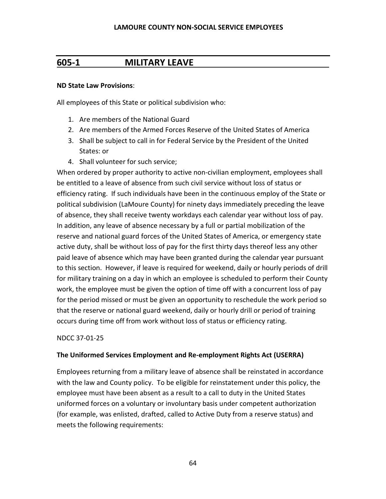## **605-1 MILITARY LEAVE**

#### **ND State Law Provisions**:

All employees of this State or political subdivision who:

- 1. Are members of the National Guard
- 2. Are members of the Armed Forces Reserve of the United States of America
- 3. Shall be subject to call in for Federal Service by the President of the United States: or
- 4. Shall volunteer for such service;

When ordered by proper authority to active non-civilian employment, employees shall be entitled to a leave of absence from such civil service without loss of status or efficiency rating. If such individuals have been in the continuous employ of the State or political subdivision (LaMoure County) for ninety days immediately preceding the leave of absence, they shall receive twenty workdays each calendar year without loss of pay. In addition, any leave of absence necessary by a full or partial mobilization of the reserve and national guard forces of the United States of America, or emergency state active duty, shall be without loss of pay for the first thirty days thereof less any other paid leave of absence which may have been granted during the calendar year pursuant to this section. However, if leave is required for weekend, daily or hourly periods of drill for military training on a day in which an employee is scheduled to perform their County work, the employee must be given the option of time off with a concurrent loss of pay for the period missed or must be given an opportunity to reschedule the work period so that the reserve or national guard weekend, daily or hourly drill or period of training occurs during time off from work without loss of status or efficiency rating.

#### NDCC 37-01-25

#### **The Uniformed Services Employment and Re-employment Rights Act (USERRA)**

Employees returning from a military leave of absence shall be reinstated in accordance with the law and County policy. To be eligible for reinstatement under this policy, the employee must have been absent as a result to a call to duty in the United States uniformed forces on a voluntary or involuntary basis under competent authorization (for example, was enlisted, drafted, called to Active Duty from a reserve status) and meets the following requirements: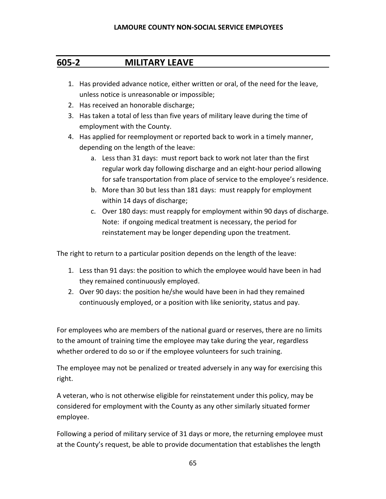## **605-2 MILITARY LEAVE**

- 1. Has provided advance notice, either written or oral, of the need for the leave, unless notice is unreasonable or impossible;
- 2. Has received an honorable discharge;
- 3. Has taken a total of less than five years of military leave during the time of employment with the County.
- 4. Has applied for reemployment or reported back to work in a timely manner, depending on the length of the leave:
	- a. Less than 31 days: must report back to work not later than the first regular work day following discharge and an eight-hour period allowing for safe transportation from place of service to the employee's residence.
	- b. More than 30 but less than 181 days: must reapply for employment within 14 days of discharge;
	- c. Over 180 days: must reapply for employment within 90 days of discharge. Note: if ongoing medical treatment is necessary, the period for reinstatement may be longer depending upon the treatment.

The right to return to a particular position depends on the length of the leave:

- 1. Less than 91 days: the position to which the employee would have been in had they remained continuously employed.
- 2. Over 90 days: the position he/she would have been in had they remained continuously employed, or a position with like seniority, status and pay.

For employees who are members of the national guard or reserves, there are no limits to the amount of training time the employee may take during the year, regardless whether ordered to do so or if the employee volunteers for such training.

The employee may not be penalized or treated adversely in any way for exercising this right.

A veteran, who is not otherwise eligible for reinstatement under this policy, may be considered for employment with the County as any other similarly situated former employee.

Following a period of military service of 31 days or more, the returning employee must at the County's request, be able to provide documentation that establishes the length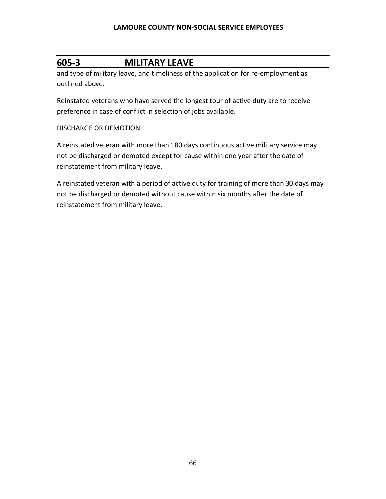## **605-3 MILITARY LEAVE**

and type of military leave, and timeliness of the application for re-employment as outlined above.

Reinstated veterans who have served the longest tour of active duty are to receive preference in case of conflict in selection of jobs available.

### DISCHARGE OR DEMOTION

A reinstated veteran with more than 180 days continuous active military service may not be discharged or demoted except for cause within one year after the date of reinstatement from military leave.

A reinstated veteran with a period of active duty for training of more than 30 days may not be discharged or demoted without cause within six months after the date of reinstatement from military leave.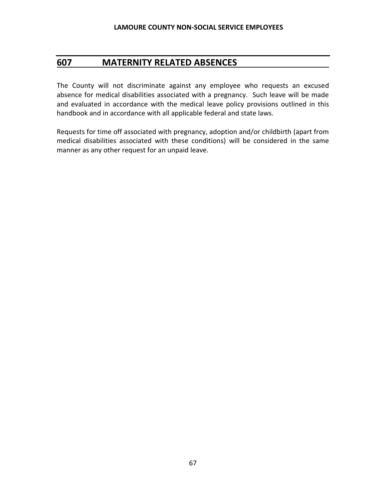## **607 MATERNITY RELATED ABSENCES**

The County will not discriminate against any employee who requests an excused absence for medical disabilities associated with a pregnancy. Such leave will be made and evaluated in accordance with the medical leave policy provisions outlined in this handbook and in accordance with all applicable federal and state laws.

Requests for time off associated with pregnancy, adoption and/or childbirth (apart from medical disabilities associated with these conditions) will be considered in the same manner as any other request for an unpaid leave.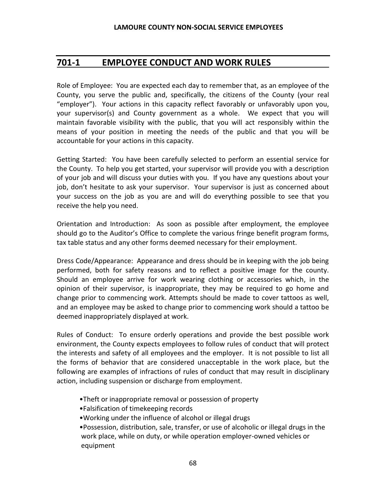## **701-1 EMPLOYEE CONDUCT AND WORK RULES**

Role of Employee: You are expected each day to remember that, as an employee of the County, you serve the public and, specifically, the citizens of the County (your real "employer"). Your actions in this capacity reflect favorably or unfavorably upon you, your supervisor(s) and County government as a whole. We expect that you will maintain favorable visibility with the public, that you will act responsibly within the means of your position in meeting the needs of the public and that you will be accountable for your actions in this capacity.

Getting Started: You have been carefully selected to perform an essential service for the County. To help you get started, your supervisor will provide you with a description of your job and will discuss your duties with you. If you have any questions about your job, don't hesitate to ask your supervisor. Your supervisor is just as concerned about your success on the job as you are and will do everything possible to see that you receive the help you need.

Orientation and Introduction: As soon as possible after employment, the employee should go to the Auditor's Office to complete the various fringe benefit program forms, tax table status and any other forms deemed necessary for their employment.

Dress Code/Appearance: Appearance and dress should be in keeping with the job being performed, both for safety reasons and to reflect a positive image for the county. Should an employee arrive for work wearing clothing or accessories which, in the opinion of their supervisor, is inappropriate, they may be required to go home and change prior to commencing work. Attempts should be made to cover tattoos as well, and an employee may be asked to change prior to commencing work should a tattoo be deemed inappropriately displayed at work.

Rules of Conduct: To ensure orderly operations and provide the best possible work environment, the County expects employees to follow rules of conduct that will protect the interests and safety of all employees and the employer. It is not possible to list all the forms of behavior that are considered unacceptable in the work place, but the following are examples of infractions of rules of conduct that may result in disciplinary action, including suspension or discharge from employment.

- •Theft or inappropriate removal or possession of property
- •Falsification of timekeeping records
- •Working under the influence of alcohol or illegal drugs

•Possession, distribution, sale, transfer, or use of alcoholic or illegal drugs in the work place, while on duty, or while operation employer-owned vehicles or equipment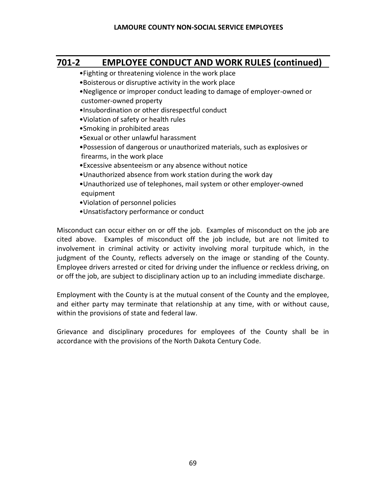# **701-2 EMPLOYEE CONDUCT AND WORK RULES (continued)**

- •Fighting or threatening violence in the work place
- •Boisterous or disruptive activity in the work place
- •Negligence or improper conduct leading to damage of employer-owned or customer-owned property
- •Insubordination or other disrespectful conduct
- •Violation of safety or health rules
- •Smoking in prohibited areas
- •Sexual or other unlawful harassment
- •Possession of dangerous or unauthorized materials, such as explosives or firearms, in the work place
- •Excessive absenteeism or any absence without notice
- •Unauthorized absence from work station during the work day
- •Unauthorized use of telephones, mail system or other employer-owned equipment
- •Violation of personnel policies
- •Unsatisfactory performance or conduct

Misconduct can occur either on or off the job. Examples of misconduct on the job are cited above. Examples of misconduct off the job include, but are not limited to involvement in criminal activity or activity involving moral turpitude which, in the judgment of the County, reflects adversely on the image or standing of the County. Employee drivers arrested or cited for driving under the influence or reckless driving, on or off the job, are subject to disciplinary action up to an including immediate discharge.

Employment with the County is at the mutual consent of the County and the employee, and either party may terminate that relationship at any time, with or without cause, within the provisions of state and federal law.

Grievance and disciplinary procedures for employees of the County shall be in accordance with the provisions of the North Dakota Century Code.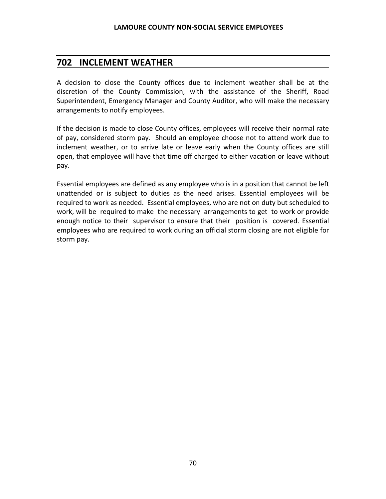## **702 INCLEMENT WEATHER**

A decision to close the County offices due to inclement weather shall be at the discretion of the County Commission, with the assistance of the Sheriff, Road Superintendent, Emergency Manager and County Auditor, who will make the necessary arrangements to notify employees.

If the decision is made to close County offices, employees will receive their normal rate of pay, considered storm pay. Should an employee choose not to attend work due to inclement weather, or to arrive late or leave early when the County offices are still open, that employee will have that time off charged to either vacation or leave without pay.

Essential employees are defined as any employee who is in a position that cannot be left unattended or is subject to duties as the need arises. Essential employees will be required to work as needed. Essential employees, who are not on duty but scheduled to work, will be required to make the necessary arrangements to get to work or provide enough notice to their supervisor to ensure that their position is covered. Essential employees who are required to work during an official storm closing are not eligible for storm pay.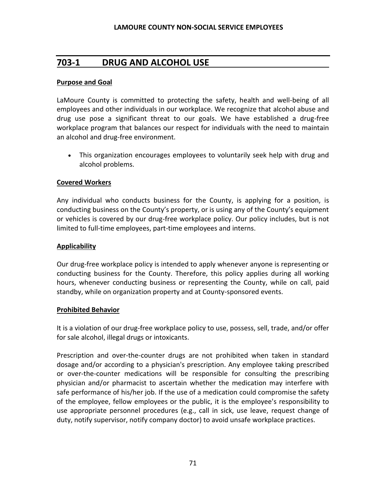## **703-1 DRUG AND ALCOHOL USE**

#### **Purpose and Goal**

LaMoure County is committed to protecting the safety, health and well-being of all employees and other individuals in our workplace. We recognize that alcohol abuse and drug use pose a significant threat to our goals. We have established a drug-free workplace program that balances our respect for individuals with the need to maintain an alcohol and drug-free environment.

• This organization encourages employees to voluntarily seek help with drug and alcohol problems.

#### **Covered Workers**

Any individual who conducts business for the County, is applying for a position, is conducting business on the County's property, or is using any of the County's equipment or vehicles is covered by our drug-free workplace policy. Our policy includes, but is not limited to full-time employees, part-time employees and interns.

#### **Applicability**

Our drug-free workplace policy is intended to apply whenever anyone is representing or conducting business for the County. Therefore, this policy applies during all working hours, whenever conducting business or representing the County, while on call, paid standby, while on organization property and at County-sponsored events.

#### **Prohibited Behavior**

It is a violation of our drug-free workplace policy to use, possess, sell, trade, and/or offer for sale alcohol, illegal drugs or intoxicants.

Prescription and over-the-counter drugs are not prohibited when taken in standard dosage and/or according to a physician's prescription. Any employee taking prescribed or over-the-counter medications will be responsible for consulting the prescribing physician and/or pharmacist to ascertain whether the medication may interfere with safe performance of his/her job. If the use of a medication could compromise the safety of the employee, fellow employees or the public, it is the employee's responsibility to use appropriate personnel procedures (e.g., call in sick, use leave, request change of duty, notify supervisor, notify company doctor) to avoid unsafe workplace practices.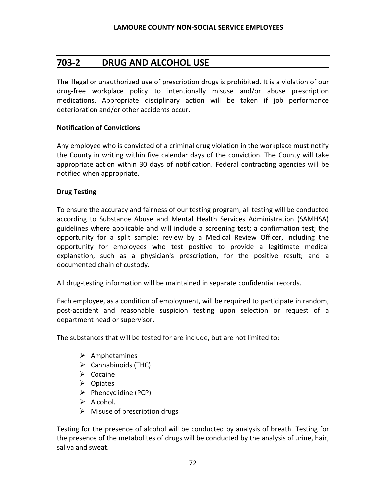## **703-2 DRUG AND ALCOHOL USE**

The illegal or unauthorized use of prescription drugs is prohibited. It is a violation of our drug-free workplace policy to intentionally misuse and/or abuse prescription medications. Appropriate disciplinary action will be taken if job performance deterioration and/or other accidents occur.

#### **Notification of Convictions**

Any employee who is convicted of a criminal drug violation in the workplace must notify the County in writing within five calendar days of the conviction. The County will take appropriate action within 30 days of notification. Federal contracting agencies will be notified when appropriate.

#### **Drug Testing**

To ensure the accuracy and fairness of our testing program, all testing will be conducted according to Substance Abuse and Mental Health Services Administration (SAMHSA) guidelines where applicable and will include a screening test; a confirmation test; the opportunity for a split sample; review by a Medical Review Officer, including the opportunity for employees who test positive to provide a legitimate medical explanation, such as a physician's prescription, for the positive result; and a documented chain of custody.

All drug-testing information will be maintained in separate confidential records.

Each employee, as a condition of employment, will be required to participate in random, post-accident and reasonable suspicion testing upon selection or request of a department head or supervisor.

The substances that will be tested for are include, but are not limited to:

- ➢ Amphetamines
- $\triangleright$  Cannabinoids (THC)
- ➢ Cocaine
- ➢ Opiates
- ➢ Phencyclidine (PCP)
- ➢ Alcohol.
- $\triangleright$  Misuse of prescription drugs

Testing for the presence of alcohol will be conducted by analysis of breath. Testing for the presence of the metabolites of drugs will be conducted by the analysis of urine, hair, saliva and sweat.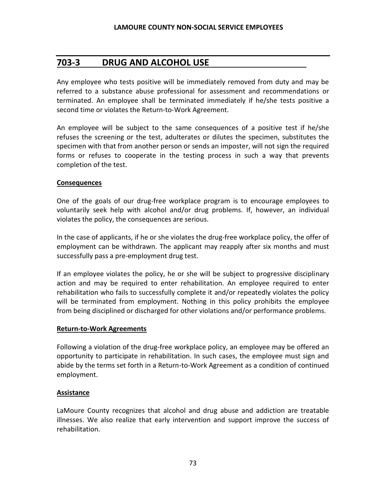# **703-3 DRUG AND ALCOHOL USE**

Any employee who tests positive will be immediately removed from duty and may be referred to a substance abuse professional for assessment and recommendations or terminated. An employee shall be terminated immediately if he/she tests positive a second time or violates the Return-to-Work Agreement.

An employee will be subject to the same consequences of a positive test if he/she refuses the screening or the test, adulterates or dilutes the specimen, substitutes the specimen with that from another person or sends an imposter, will not sign the required forms or refuses to cooperate in the testing process in such a way that prevents completion of the test.

#### **Consequences**

One of the goals of our drug-free workplace program is to encourage employees to voluntarily seek help with alcohol and/or drug problems. If, however, an individual violates the policy, the consequences are serious.

In the case of applicants, if he or she violates the drug-free workplace policy, the offer of employment can be withdrawn. The applicant may reapply after six months and must successfully pass a pre-employment drug test.

If an employee violates the policy, he or she will be subject to progressive disciplinary action and may be required to enter rehabilitation. An employee required to enter rehabilitation who fails to successfully complete it and/or repeatedly violates the policy will be terminated from employment. Nothing in this policy prohibits the employee from being disciplined or discharged for other violations and/or performance problems.

#### **Return-to-Work Agreements**

Following a violation of the drug-free workplace policy, an employee may be offered an opportunity to participate in rehabilitation. In such cases, the employee must sign and abide by the terms set forth in a Return-to-Work Agreement as a condition of continued employment.

#### **Assistance**

LaMoure County recognizes that alcohol and drug abuse and addiction are treatable illnesses. We also realize that early intervention and support improve the success of rehabilitation.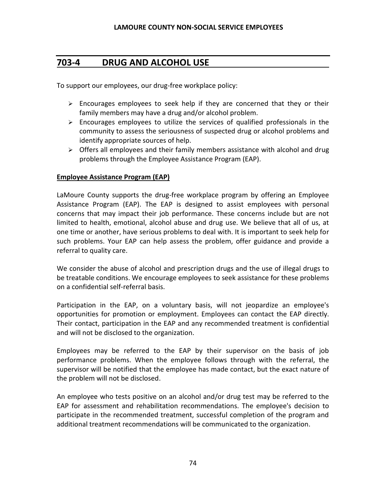# **703-4 DRUG AND ALCOHOL USE**

To support our employees, our drug-free workplace policy:

- ➢ Encourages employees to seek help if they are concerned that they or their family members may have a drug and/or alcohol problem.
- $\triangleright$  Encourages employees to utilize the services of qualified professionals in the community to assess the seriousness of suspected drug or alcohol problems and identify appropriate sources of help.
- $\triangleright$  Offers all employees and their family members assistance with alcohol and drug problems through the Employee Assistance Program (EAP).

#### **Employee Assistance Program (EAP)**

LaMoure County supports the drug-free workplace program by offering an Employee Assistance Program (EAP). The EAP is designed to assist employees with personal concerns that may impact their job performance. These concerns include but are not limited to health, emotional, alcohol abuse and drug use. We believe that all of us, at one time or another, have serious problems to deal with. It is important to seek help for such problems. Your EAP can help assess the problem, offer guidance and provide a referral to quality care.

We consider the abuse of alcohol and prescription drugs and the use of illegal drugs to be treatable conditions. We encourage employees to seek assistance for these problems on a confidential self-referral basis.

Participation in the EAP, on a voluntary basis, will not jeopardize an employee's opportunities for promotion or employment. Employees can contact the EAP directly. Their contact, participation in the EAP and any recommended treatment is confidential and will not be disclosed to the organization.

Employees may be referred to the EAP by their supervisor on the basis of job performance problems. When the employee follows through with the referral, the supervisor will be notified that the employee has made contact, but the exact nature of the problem will not be disclosed.

An employee who tests positive on an alcohol and/or drug test may be referred to the EAP for assessment and rehabilitation recommendations. The employee's decision to participate in the recommended treatment, successful completion of the program and additional treatment recommendations will be communicated to the organization.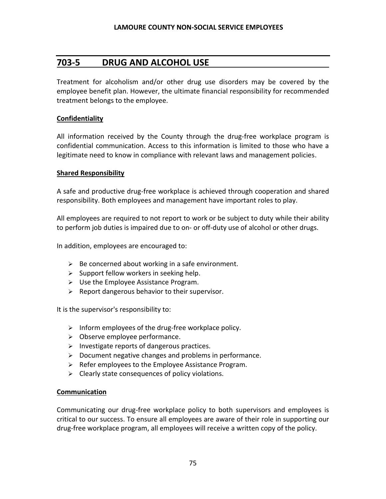## **703-5 DRUG AND ALCOHOL USE**

Treatment for alcoholism and/or other drug use disorders may be covered by the employee benefit plan. However, the ultimate financial responsibility for recommended treatment belongs to the employee.

#### **Confidentiality**

All information received by the County through the drug-free workplace program is confidential communication. Access to this information is limited to those who have a legitimate need to know in compliance with relevant laws and management policies.

#### **Shared Responsibility**

A safe and productive drug-free workplace is achieved through cooperation and shared responsibility. Both employees and management have important roles to play.

All employees are required to not report to work or be subject to duty while their ability to perform job duties is impaired due to on- or off-duty use of alcohol or other drugs.

In addition, employees are encouraged to:

- $\triangleright$  Be concerned about working in a safe environment.
- $\triangleright$  Support fellow workers in seeking help.
- ➢ Use the Employee Assistance Program.
- $\triangleright$  Report dangerous behavior to their supervisor.

It is the supervisor's responsibility to:

- $\triangleright$  Inform employees of the drug-free workplace policy.
- ➢ Observe employee performance.
- $\triangleright$  Investigate reports of dangerous practices.
- ➢ Document negative changes and problems in performance.
- ➢ Refer employees to the Employee Assistance Program.
- ➢ Clearly state consequences of policy violations.

#### **Communication**

Communicating our drug-free workplace policy to both supervisors and employees is critical to our success. To ensure all employees are aware of their role in supporting our drug-free workplace program, all employees will receive a written copy of the policy.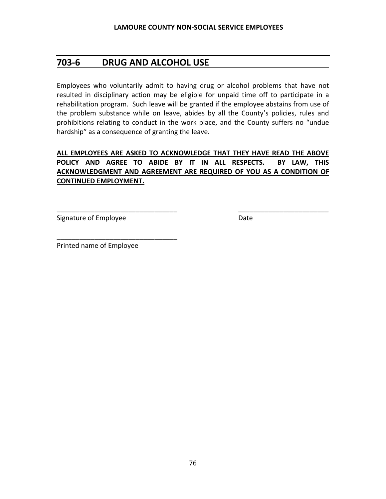# **703-6 DRUG AND ALCOHOL USE**

Employees who voluntarily admit to having drug or alcohol problems that have not resulted in disciplinary action may be eligible for unpaid time off to participate in a rehabilitation program. Such leave will be granted if the employee abstains from use of the problem substance while on leave, abides by all the County's policies, rules and prohibitions relating to conduct in the work place, and the County suffers no "undue hardship" as a consequence of granting the leave.

## **ALL EMPLOYEES ARE ASKED TO ACKNOWLEDGE THAT THEY HAVE READ THE ABOVE POLICY AND AGREE TO ABIDE BY IT IN ALL RESPECTS. BY LAW, THIS ACKNOWLEDGMENT AND AGREEMENT ARE REQUIRED OF YOU AS A CONDITION OF CONTINUED EMPLOYMENT.**

\_\_\_\_\_\_\_\_\_\_\_\_\_\_\_\_\_\_\_\_\_\_\_\_\_\_\_\_\_\_\_\_ \_\_\_\_\_\_\_\_\_\_\_\_\_\_\_\_\_\_\_\_\_\_\_\_

Signature of Employee Date Date

Printed name of Employee

\_\_\_\_\_\_\_\_\_\_\_\_\_\_\_\_\_\_\_\_\_\_\_\_\_\_\_\_\_\_\_\_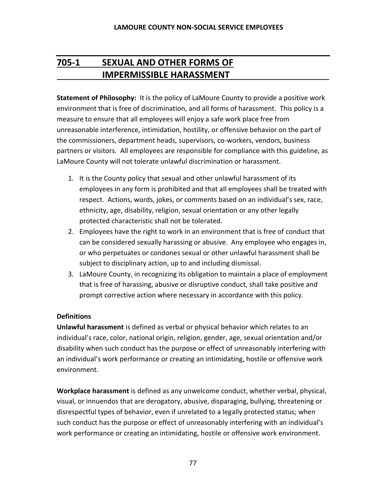# **705-1 SEXUAL AND OTHER FORMS OF IMPERMISSIBLE HARASSMENT**

**Statement of Philosophy:** It is the policy of LaMoure County to provide a positive work environment that is free of discrimination, and all forms of harassment. This policy is a measure to ensure that all employees will enjoy a safe work place free from unreasonable interference, intimidation, hostility, or offensive behavior on the part of the commissioners, department heads, supervisors, co-workers, vendors, business partners or visitors. All employees are responsible for compliance with this guideline, as LaMoure County will not tolerate unlawful discrimination or harassment.

- 1. It is the County policy that sexual and other unlawful harassment of its employees in any form is prohibited and that all employees shall be treated with respect. Actions, words, jokes, or comments based on an individual's sex, race, ethnicity, age, disability, religion, sexual orientation or any other legally protected characteristic shall not be tolerated.
- 2. Employees have the right to work in an environment that is free of conduct that can be considered sexually harassing or abusive. Any employee who engages in, or who perpetuates or condones sexual or other unlawful harassment shall be subject to disciplinary action, up to and including dismissal.
- 3. LaMoure County, in recognizing its obligation to maintain a place of employment that is free of harassing, abusive or disruptive conduct, shall take positive and prompt corrective action where necessary in accordance with this policy.

## **Definitions**

**Unlawful harassment** is defined as verbal or physical behavior which relates to an individual's race, color, national origin, religion, gender, age, sexual orientation and/or disability when such conduct has the purpose or effect of unreasonably interfering with an individual's work performance or creating an intimidating, hostile or offensive work environment.

**Workplace harassment** is defined as any unwelcome conduct, whether verbal, physical, visual, or innuendos that are derogatory, abusive, disparaging, bullying, threatening or disrespectful types of behavior, even if unrelated to a legally protected status; when such conduct has the purpose or effect of unreasonably interfering with an individual's work performance or creating an intimidating, hostile or offensive work environment.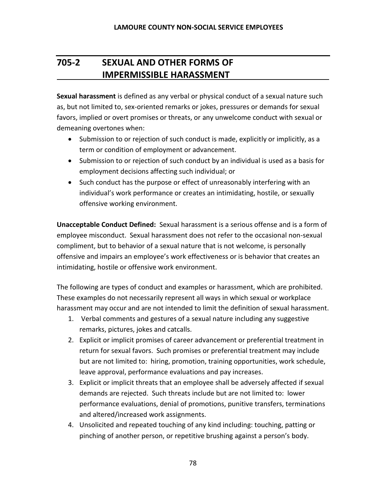# **705-2 SEXUAL AND OTHER FORMS OF IMPERMISSIBLE HARASSMENT**

**Sexual harassment** is defined as any verbal or physical conduct of a sexual nature such as, but not limited to, sex-oriented remarks or jokes, pressures or demands for sexual favors, implied or overt promises or threats, or any unwelcome conduct with sexual or demeaning overtones when:

- Submission to or rejection of such conduct is made, explicitly or implicitly, as a term or condition of employment or advancement.
- Submission to or rejection of such conduct by an individual is used as a basis for employment decisions affecting such individual; or
- Such conduct has the purpose or effect of unreasonably interfering with an individual's work performance or creates an intimidating, hostile, or sexually offensive working environment.

**Unacceptable Conduct Defined:** Sexual harassment is a serious offense and is a form of employee misconduct. Sexual harassment does not refer to the occasional non-sexual compliment, but to behavior of a sexual nature that is not welcome, is personally offensive and impairs an employee's work effectiveness or is behavior that creates an intimidating, hostile or offensive work environment.

The following are types of conduct and examples or harassment, which are prohibited. These examples do not necessarily represent all ways in which sexual or workplace harassment may occur and are not intended to limit the definition of sexual harassment.

- 1. Verbal comments and gestures of a sexual nature including any suggestive remarks, pictures, jokes and catcalls.
- 2. Explicit or implicit promises of career advancement or preferential treatment in return for sexual favors. Such promises or preferential treatment may include but are not limited to: hiring, promotion, training opportunities, work schedule, leave approval, performance evaluations and pay increases.
- 3. Explicit or implicit threats that an employee shall be adversely affected if sexual demands are rejected. Such threats include but are not limited to: lower performance evaluations, denial of promotions, punitive transfers, terminations and altered/increased work assignments.
- 4. Unsolicited and repeated touching of any kind including: touching, patting or pinching of another person, or repetitive brushing against a person's body.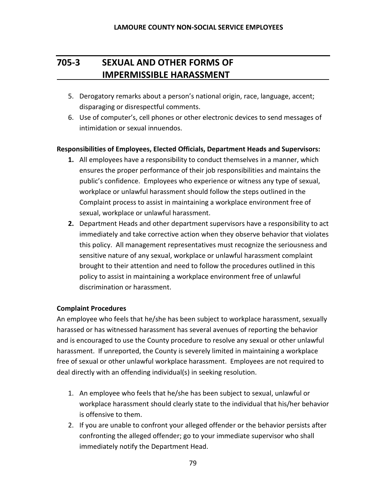# **705-3 SEXUAL AND OTHER FORMS OF IMPERMISSIBLE HARASSMENT**

- 5. Derogatory remarks about a person's national origin, race, language, accent; disparaging or disrespectful comments.
- 6. Use of computer's, cell phones or other electronic devices to send messages of intimidation or sexual innuendos.

#### **Responsibilities of Employees, Elected Officials, Department Heads and Supervisors:**

- **1.** All employees have a responsibility to conduct themselves in a manner, which ensures the proper performance of their job responsibilities and maintains the public's confidence. Employees who experience or witness any type of sexual, workplace or unlawful harassment should follow the steps outlined in the Complaint process to assist in maintaining a workplace environment free of sexual, workplace or unlawful harassment.
- **2.** Department Heads and other department supervisors have a responsibility to act immediately and take corrective action when they observe behavior that violates this policy. All management representatives must recognize the seriousness and sensitive nature of any sexual, workplace or unlawful harassment complaint brought to their attention and need to follow the procedures outlined in this policy to assist in maintaining a workplace environment free of unlawful discrimination or harassment.

#### **Complaint Procedures**

An employee who feels that he/she has been subject to workplace harassment, sexually harassed or has witnessed harassment has several avenues of reporting the behavior and is encouraged to use the County procedure to resolve any sexual or other unlawful harassment. If unreported, the County is severely limited in maintaining a workplace free of sexual or other unlawful workplace harassment. Employees are not required to deal directly with an offending individual(s) in seeking resolution.

- 1. An employee who feels that he/she has been subject to sexual, unlawful or workplace harassment should clearly state to the individual that his/her behavior is offensive to them.
- 2. If you are unable to confront your alleged offender or the behavior persists after confronting the alleged offender; go to your immediate supervisor who shall immediately notify the Department Head.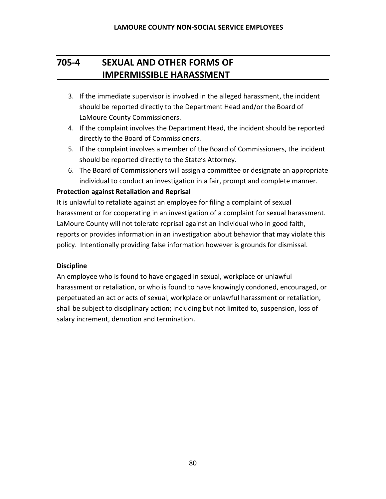# **705-4 SEXUAL AND OTHER FORMS OF IMPERMISSIBLE HARASSMENT**

- 3. If the immediate supervisor is involved in the alleged harassment, the incident should be reported directly to the Department Head and/or the Board of LaMoure County Commissioners.
- 4. If the complaint involves the Department Head, the incident should be reported directly to the Board of Commissioners.
- 5. If the complaint involves a member of the Board of Commissioners, the incident should be reported directly to the State's Attorney.
- 6. The Board of Commissioners will assign a committee or designate an appropriate individual to conduct an investigation in a fair, prompt and complete manner.

## **Protection against Retaliation and Reprisal**

It is unlawful to retaliate against an employee for filing a complaint of sexual harassment or for cooperating in an investigation of a complaint for sexual harassment. LaMoure County will not tolerate reprisal against an individual who in good faith, reports or provides information in an investigation about behavior that may violate this policy. Intentionally providing false information however is grounds for dismissal.

## **Discipline**

An employee who is found to have engaged in sexual, workplace or unlawful harassment or retaliation, or who is found to have knowingly condoned, encouraged, or perpetuated an act or acts of sexual, workplace or unlawful harassment or retaliation, shall be subject to disciplinary action; including but not limited to, suspension, loss of salary increment, demotion and termination.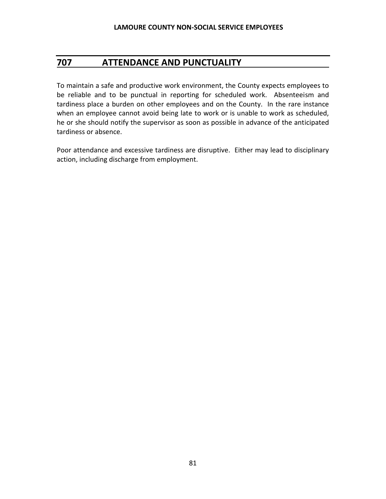# **707 ATTENDANCE AND PUNCTUALITY**

To maintain a safe and productive work environment, the County expects employees to be reliable and to be punctual in reporting for scheduled work. Absenteeism and tardiness place a burden on other employees and on the County. In the rare instance when an employee cannot avoid being late to work or is unable to work as scheduled, he or she should notify the supervisor as soon as possible in advance of the anticipated tardiness or absence.

Poor attendance and excessive tardiness are disruptive. Either may lead to disciplinary action, including discharge from employment.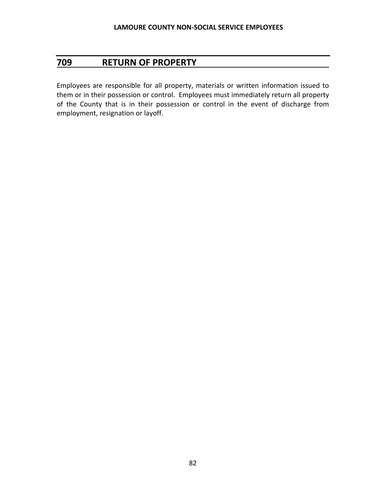# **709 RETURN OF PROPERTY**

Employees are responsible for all property, materials or written information issued to them or in their possession or control. Employees must immediately return all property of the County that is in their possession or control in the event of discharge from employment, resignation or layoff.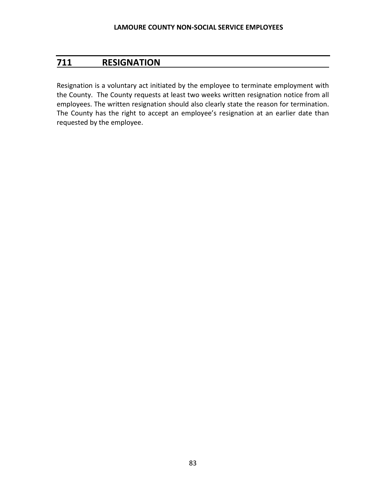# **711 RESIGNATION**

Resignation is a voluntary act initiated by the employee to terminate employment with the County. The County requests at least two weeks written resignation notice from all employees. The written resignation should also clearly state the reason for termination. The County has the right to accept an employee's resignation at an earlier date than requested by the employee.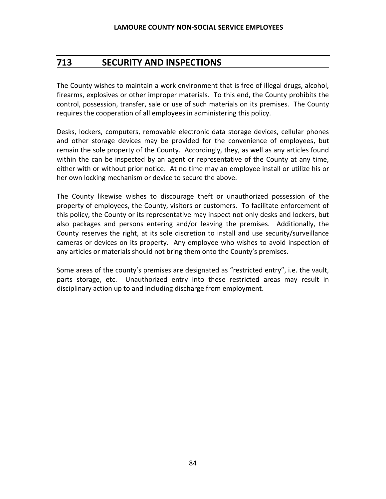# **713 SECURITY AND INSPECTIONS**

The County wishes to maintain a work environment that is free of illegal drugs, alcohol, firearms, explosives or other improper materials. To this end, the County prohibits the control, possession, transfer, sale or use of such materials on its premises. The County requires the cooperation of all employees in administering this policy.

Desks, lockers, computers, removable electronic data storage devices, cellular phones and other storage devices may be provided for the convenience of employees, but remain the sole property of the County. Accordingly, they, as well as any articles found within the can be inspected by an agent or representative of the County at any time, either with or without prior notice. At no time may an employee install or utilize his or her own locking mechanism or device to secure the above.

The County likewise wishes to discourage theft or unauthorized possession of the property of employees, the County, visitors or customers. To facilitate enforcement of this policy, the County or its representative may inspect not only desks and lockers, but also packages and persons entering and/or leaving the premises. Additionally, the County reserves the right, at its sole discretion to install and use security/surveillance cameras or devices on its property. Any employee who wishes to avoid inspection of any articles or materials should not bring them onto the County's premises.

Some areas of the county's premises are designated as "restricted entry", i.e. the vault, parts storage, etc. Unauthorized entry into these restricted areas may result in disciplinary action up to and including discharge from employment.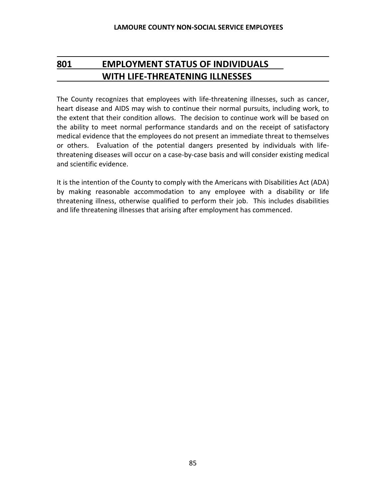# **801 EMPLOYMENT STATUS OF INDIVIDUALS WITH LIFE-THREATENING ILLNESSES**

The County recognizes that employees with life-threatening illnesses, such as cancer, heart disease and AIDS may wish to continue their normal pursuits, including work, to the extent that their condition allows. The decision to continue work will be based on the ability to meet normal performance standards and on the receipt of satisfactory medical evidence that the employees do not present an immediate threat to themselves or others. Evaluation of the potential dangers presented by individuals with lifethreatening diseases will occur on a case-by-case basis and will consider existing medical and scientific evidence.

It is the intention of the County to comply with the Americans with Disabilities Act (ADA) by making reasonable accommodation to any employee with a disability or life threatening illness, otherwise qualified to perform their job. This includes disabilities and life threatening illnesses that arising after employment has commenced.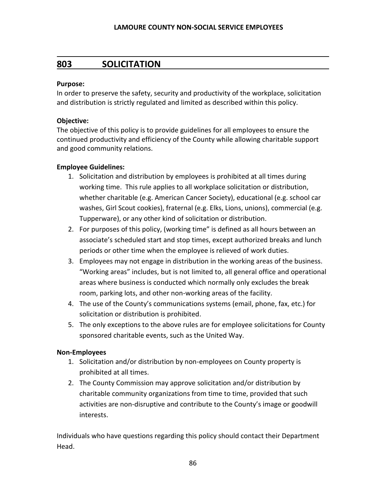## **803 SOLICITATION**

#### **Purpose:**

In order to preserve the safety, security and productivity of the workplace, solicitation and distribution is strictly regulated and limited as described within this policy.

#### **Objective:**

The objective of this policy is to provide guidelines for all employees to ensure the continued productivity and efficiency of the County while allowing charitable support and good community relations.

#### **Employee Guidelines:**

- 1. Solicitation and distribution by employees is prohibited at all times during working time. This rule applies to all workplace solicitation or distribution, whether charitable (e.g. American Cancer Society), educational (e.g. school car washes, Girl Scout cookies), fraternal (e.g. Elks, Lions, unions), commercial (e.g. Tupperware), or any other kind of solicitation or distribution.
- 2. For purposes of this policy, (working time" is defined as all hours between an associate's scheduled start and stop times, except authorized breaks and lunch periods or other time when the employee is relieved of work duties.
- 3. Employees may not engage in distribution in the working areas of the business. "Working areas" includes, but is not limited to, all general office and operational areas where business is conducted which normally only excludes the break room, parking lots, and other non-working areas of the facility.
- 4. The use of the County's communications systems (email, phone, fax, etc.) for solicitation or distribution is prohibited.
- 5. The only exceptions to the above rules are for employee solicitations for County sponsored charitable events, such as the United Way.

#### **Non-Employees**

- 1. Solicitation and/or distribution by non-employees on County property is prohibited at all times.
- 2. The County Commission may approve solicitation and/or distribution by charitable community organizations from time to time, provided that such activities are non-disruptive and contribute to the County's image or goodwill interests.

Individuals who have questions regarding this policy should contact their Department Head.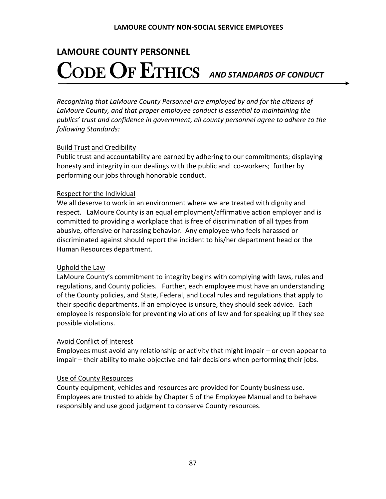# **LAMOURE COUNTY PERSONNEL** CODE OF ETHICS *AND STANDARDS OF CONDUCT*

*Recognizing that LaMoure County Personnel are employed by and for the citizens of LaMoure County, and that proper employee conduct is essential to maintaining the publics' trust and confidence in government, all county personnel agree to adhere to the following Standards:*

#### Build Trust and Credibility

Public trust and accountability are earned by adhering to our commitments; displaying honesty and integrity in our dealings with the public and co-workers; further by performing our jobs through honorable conduct.

#### Respect for the Individual

We all deserve to work in an environment where we are treated with dignity and respect. LaMoure County is an equal employment/affirmative action employer and is committed to providing a workplace that is free of discrimination of all types from abusive, offensive or harassing behavior. Any employee who feels harassed or discriminated against should report the incident to his/her department head or the Human Resources department.

## Uphold the Law

LaMoure County's commitment to integrity begins with complying with laws, rules and regulations, and County policies. Further, each employee must have an understanding of the County policies, and State, Federal, and Local rules and regulations that apply to their specific departments. If an employee is unsure, they should seek advice. Each employee is responsible for preventing violations of law and for speaking up if they see possible violations.

## Avoid Conflict of Interest

Employees must avoid any relationship or activity that might impair – or even appear to impair – their ability to make objective and fair decisions when performing their jobs.

#### Use of County Resources

County equipment, vehicles and resources are provided for County business use. Employees are trusted to abide by Chapter 5 of the Employee Manual and to behave responsibly and use good judgment to conserve County resources.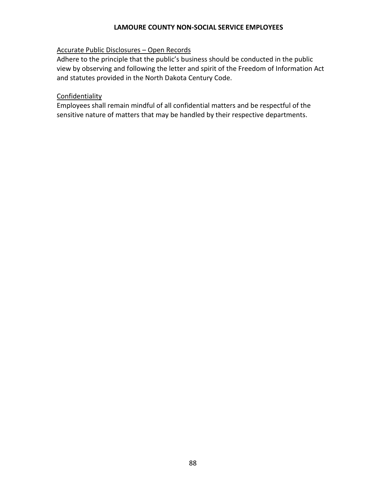#### **LAMOURE COUNTY NON-SOCIAL SERVICE EMPLOYEES**

## Accurate Public Disclosures – Open Records

Adhere to the principle that the public's business should be conducted in the public view by observing and following the letter and spirit of the Freedom of Information Act and statutes provided in the North Dakota Century Code.

#### **Confidentiality**

Employees shall remain mindful of all confidential matters and be respectful of the sensitive nature of matters that may be handled by their respective departments.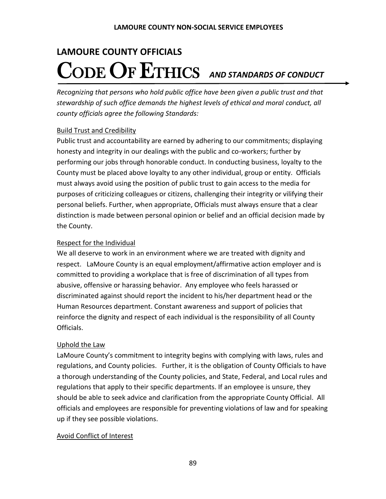# **LAMOURE COUNTY OFFICIALS** CODE OF ETHICS *AND STANDARDS OF CONDUCT*

*Recognizing that persons who hold public office have been given a public trust and that stewardship of such office demands the highest levels of ethical and moral conduct, all county officials agree the following Standards:*

## Build Trust and Credibility

Public trust and accountability are earned by adhering to our commitments; displaying honesty and integrity in our dealings with the public and co-workers; further by performing our jobs through honorable conduct. In conducting business, loyalty to the County must be placed above loyalty to any other individual, group or entity. Officials must always avoid using the position of public trust to gain access to the media for purposes of criticizing colleagues or citizens, challenging their integrity or vilifying their personal beliefs. Further, when appropriate, Officials must always ensure that a clear distinction is made between personal opinion or belief and an official decision made by the County.

## Respect for the Individual

We all deserve to work in an environment where we are treated with dignity and respect. LaMoure County is an equal employment/affirmative action employer and is committed to providing a workplace that is free of discrimination of all types from abusive, offensive or harassing behavior. Any employee who feels harassed or discriminated against should report the incident to his/her department head or the Human Resources department. Constant awareness and support of policies that reinforce the dignity and respect of each individual is the responsibility of all County Officials.

## Uphold the Law

LaMoure County's commitment to integrity begins with complying with laws, rules and regulations, and County policies. Further, it is the obligation of County Officials to have a thorough understanding of the County policies, and State, Federal, and Local rules and regulations that apply to their specific departments. If an employee is unsure, they should be able to seek advice and clarification from the appropriate County Official. All officials and employees are responsible for preventing violations of law and for speaking up if they see possible violations.

## Avoid Conflict of Interest